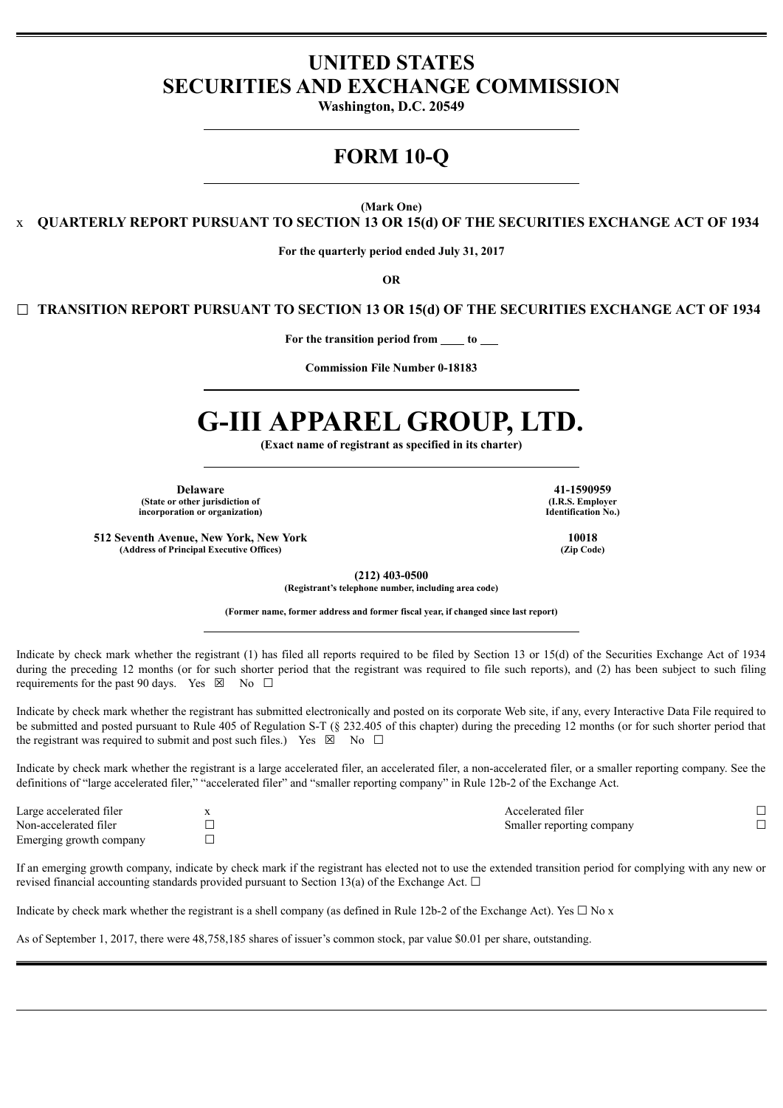## **UNITED STATES SECURITIES AND EXCHANGE COMMISSION**

**Washington, D.C. 20549**

# **FORM 10-Q**

**(Mark One)**

x **QUARTERLY REPORT PURSUANT TO SECTION 13 OR 15(d) OF THE SECURITIES EXCHANGE ACT OF 1934**

**For the quarterly period ended July 31, 2017**

**OR**

☐ **TRANSITION REPORT PURSUANT TO SECTION 13 OR 15(d) OF THE SECURITIES EXCHANGE ACT OF 1934**

**For the transition period from to**

**Commission File Number 0-18183**

# **G-III APPAREL GROUP, LTD.**

**(Exact name of registrant as specified in its charter)**

**Delaware 41-1590959 (State or other jurisdiction of one of the control of the control of the control of the control of the control of the control of the control of the control of the control of the control of the control of the control of**  $incorporation$  **or organization**)

**512 Seventh Avenue, New York, New York 10018 (Address of Principal Executive Offices) (Zip Code)**

**(212) 403-0500**

**(Registrant's telephone number, including area code)**

**(Former name, former address and former fiscal year, if changed since last report)**

Indicate by check mark whether the registrant (1) has filed all reports required to be filed by Section 13 or 15(d) of the Securities Exchange Act of 1934 during the preceding 12 months (or for such shorter period that the registrant was required to file such reports), and (2) has been subject to such filing requirements for the past 90 days. Yes  $\boxtimes$  No  $\Box$ 

Indicate by check mark whether the registrant has submitted electronically and posted on its corporate Web site, if any, every Interactive Data File required to be submitted and posted pursuant to Rule 405 of Regulation S-T (§ 232.405 of this chapter) during the preceding 12 months (or for such shorter period that the registrant was required to submit and post such files.) Yes  $\boxtimes$  No  $\Box$ 

Indicate by check mark whether the registrant is a large accelerated filer, an accelerated filer, a non-accelerated filer, or a smaller reporting company. See the definitions of "large accelerated filer," "accelerated filer" and "smaller reporting company" in Rule 12b-2 of the Exchange Act.

| Large accelerated filer | Accelerated filer         |  |
|-------------------------|---------------------------|--|
| Non-accelerated filer   | Smaller reporting company |  |
| Emerging growth company |                           |  |

If an emerging growth company, indicate by check mark if the registrant has elected not to use the extended transition period for complying with any new or revised financial accounting standards provided pursuant to Section 13(a) of the Exchange Act.  $\Box$ 

Indicate by check mark whether the registrant is a shell company (as defined in Rule 12b-2 of the Exchange Act). Yes  $\Box$  No x

As of September 1, 2017, there were 48,758,185 shares of issuer's common stock, par value \$0.01 per share, outstanding.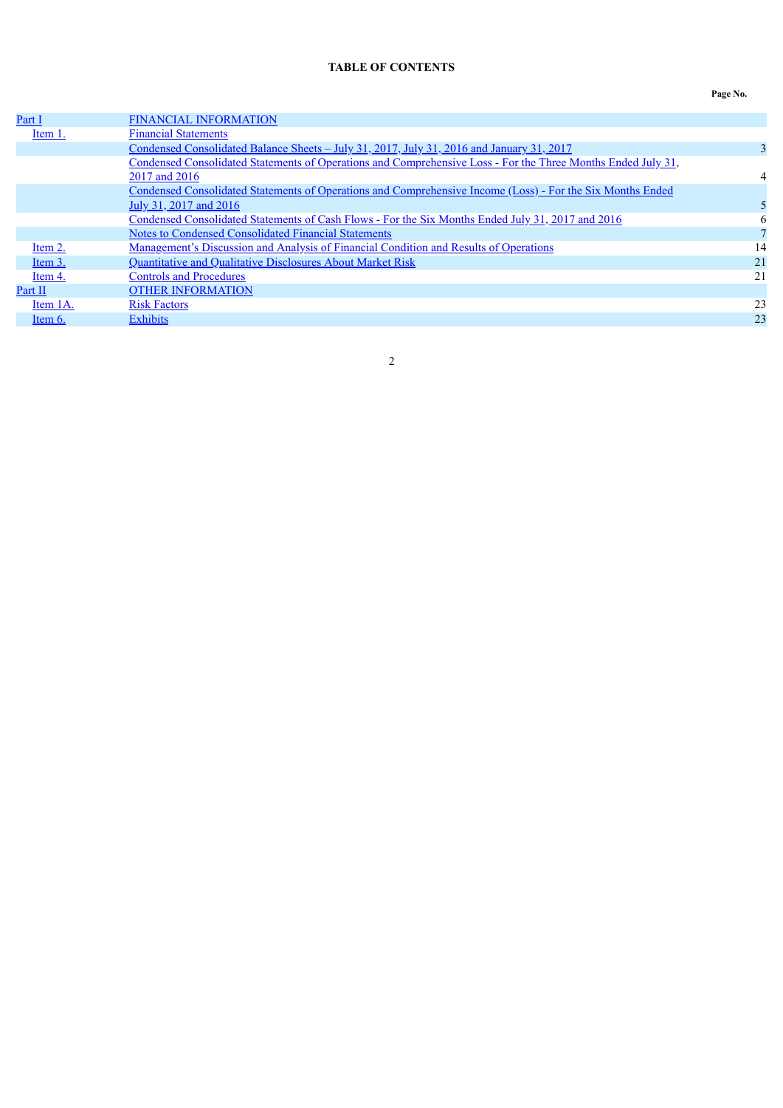### **TABLE OF CONTENTS**

| × |  |
|---|--|
|---|--|

<span id="page-1-0"></span>

| Part I    | <b>FINANCIAL INFORMATION</b>                                                                                 |    |
|-----------|--------------------------------------------------------------------------------------------------------------|----|
| Item 1.   | <b>Financial Statements</b>                                                                                  |    |
|           | <u>Condensed Consolidated Balance Sheets - July 31, 2017, July 31, 2016 and January 31, 2017</u>             |    |
|           | Condensed Consolidated Statements of Operations and Comprehensive Loss - For the Three Months Ended July 31, |    |
|           | 2017 and 2016                                                                                                | 4  |
|           | Condensed Consolidated Statements of Operations and Comprehensive Income (Loss) - For the Six Months Ended   |    |
|           | July 31, 2017 and 2016                                                                                       |    |
|           | Condensed Consolidated Statements of Cash Flows - For the Six Months Ended July 31, 2017 and 2016            | 6  |
|           | Notes to Condensed Consolidated Financial Statements                                                         |    |
| Item 2.   | <u>Management's Discussion and Analysis of Financial Condition and Results of Operations</u>                 | 14 |
| Item 3.   | Quantitative and Qualitative Disclosures About Market Risk                                                   | 21 |
| Item 4.   | <b>Controls and Procedures</b>                                                                               | 21 |
| Part II   | <b>OTHER INFORMATION</b>                                                                                     |    |
| Item 1A.  | <b>Risk Factors</b>                                                                                          | 23 |
| Item $6.$ | <b>Exhibits</b>                                                                                              | 23 |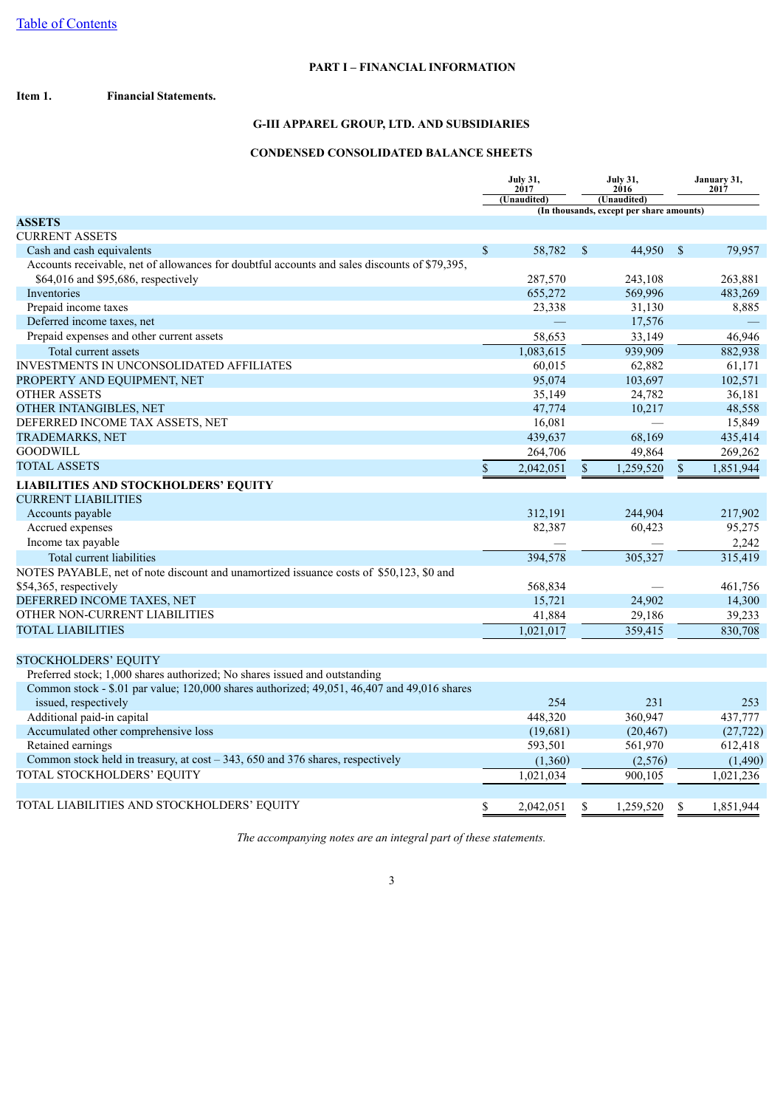### **PART I – FINANCIAL INFORMATION**

#### <span id="page-2-2"></span><span id="page-2-1"></span><span id="page-2-0"></span>**Item 1. Financial Statements.**

### **G-III APPAREL GROUP, LTD. AND SUBSIDIARIES**

### **CONDENSED CONSOLIDATED BALANCE SHEETS**

|                                                                                               | <b>July 31,</b><br>2017 |             | <b>July 31,</b><br>2016 |                                          | January 31,<br>2017 |           |
|-----------------------------------------------------------------------------------------------|-------------------------|-------------|-------------------------|------------------------------------------|---------------------|-----------|
|                                                                                               |                         | (Unaudited) |                         | (Unaudited)                              |                     |           |
| <b>ASSETS</b>                                                                                 |                         |             |                         | (In thousands, except per share amounts) |                     |           |
| <b>CURRENT ASSETS</b>                                                                         |                         |             |                         |                                          |                     |           |
| Cash and cash equivalents                                                                     | \$                      | 58,782      | $\mathbb{S}$            | 44,950                                   | $\mathbb{S}$        | 79,957    |
| Accounts receivable, net of allowances for doubtful accounts and sales discounts of \$79,395, |                         |             |                         |                                          |                     |           |
| \$64,016 and \$95,686, respectively                                                           |                         | 287,570     |                         | 243,108                                  |                     | 263.881   |
| Inventories                                                                                   |                         | 655,272     |                         | 569,996                                  |                     | 483,269   |
| Prepaid income taxes                                                                          |                         | 23,338      |                         | 31,130                                   |                     | 8,885     |
| Deferred income taxes, net                                                                    |                         |             |                         | 17,576                                   |                     |           |
| Prepaid expenses and other current assets                                                     |                         | 58,653      |                         | 33,149                                   |                     | 46,946    |
| Total current assets                                                                          |                         | 1,083,615   |                         | 939,909                                  |                     | 882,938   |
| <b>INVESTMENTS IN UNCONSOLIDATED AFFILIATES</b>                                               |                         | 60,015      |                         | 62,882                                   |                     | 61,171    |
| PROPERTY AND EQUIPMENT, NET                                                                   |                         | 95,074      |                         | 103,697                                  |                     | 102,571   |
| <b>OTHER ASSETS</b>                                                                           |                         | 35,149      |                         | 24,782                                   |                     | 36,181    |
| OTHER INTANGIBLES, NET                                                                        |                         | 47,774      |                         | 10,217                                   |                     | 48,558    |
| DEFERRED INCOME TAX ASSETS, NET                                                               |                         | 16,081      |                         |                                          |                     | 15,849    |
| <b>TRADEMARKS, NET</b>                                                                        |                         | 439,637     |                         | 68,169                                   |                     | 435,414   |
| <b>GOODWILL</b>                                                                               |                         | 264,706     |                         | 49,864                                   |                     | 269,262   |
| <b>TOTAL ASSETS</b>                                                                           | $\mathbf S$             | 2,042,051   | \$                      | 1,259,520                                | $\mathbf S$         | 1,851,944 |
| <b>LIABILITIES AND STOCKHOLDERS' EQUITY</b>                                                   |                         |             |                         |                                          |                     |           |
| <b>CURRENT LIABILITIES</b>                                                                    |                         |             |                         |                                          |                     |           |
| Accounts payable                                                                              |                         | 312,191     |                         | 244,904                                  |                     | 217,902   |
| Accrued expenses                                                                              |                         | 82,387      |                         | 60,423                                   |                     | 95,275    |
| Income tax payable                                                                            |                         |             |                         |                                          |                     | 2,242     |
| Total current liabilities                                                                     |                         | 394,578     |                         | 305,327                                  |                     | 315,419   |
| NOTES PAYABLE, net of note discount and unamortized issuance costs of \$50,123, \$0 and       |                         |             |                         |                                          |                     |           |
| \$54,365, respectively                                                                        |                         | 568,834     |                         |                                          |                     | 461,756   |
| DEFERRED INCOME TAXES, NET                                                                    |                         | 15,721      |                         | 24,902                                   |                     | 14,300    |
| OTHER NON-CURRENT LIABILITIES                                                                 |                         | 41,884      |                         | 29,186                                   |                     | 39,233    |
| <b>TOTAL LIABILITIES</b>                                                                      |                         | 1,021,017   |                         | 359,415                                  |                     | 830,708   |
|                                                                                               |                         |             |                         |                                          |                     |           |
| STOCKHOLDERS' EQUITY                                                                          |                         |             |                         |                                          |                     |           |
| Preferred stock; 1,000 shares authorized; No shares issued and outstanding                    |                         |             |                         |                                          |                     |           |
| Common stock - \$.01 par value; 120,000 shares authorized; 49,051, 46,407 and 49,016 shares   |                         |             |                         |                                          |                     |           |
| issued, respectively                                                                          |                         | 254         |                         | 231                                      |                     | 253       |
| Additional paid-in capital                                                                    |                         | 448,320     |                         | 360,947                                  |                     | 437,777   |
| Accumulated other comprehensive loss                                                          |                         | (19,681)    |                         | (20, 467)                                |                     | (27, 722) |
| Retained earnings                                                                             |                         | 593,501     |                         | 561,970                                  |                     | 612,418   |
| Common stock held in treasury, at $cost - 343$ , 650 and 376 shares, respectively             |                         | (1,360)     |                         | (2,576)                                  |                     | (1,490)   |
| TOTAL STOCKHOLDERS' EQUITY                                                                    |                         | 1,021,034   |                         | 900.105                                  |                     | 1,021,236 |
|                                                                                               |                         |             |                         |                                          |                     |           |
| TOTAL LIABILITIES AND STOCKHOLDERS' EQUITY                                                    | \$                      | 2,042,051   | \$                      | 1,259,520                                | \$                  | 1,851,944 |

*The accompanying notes are an integral part of these statements.*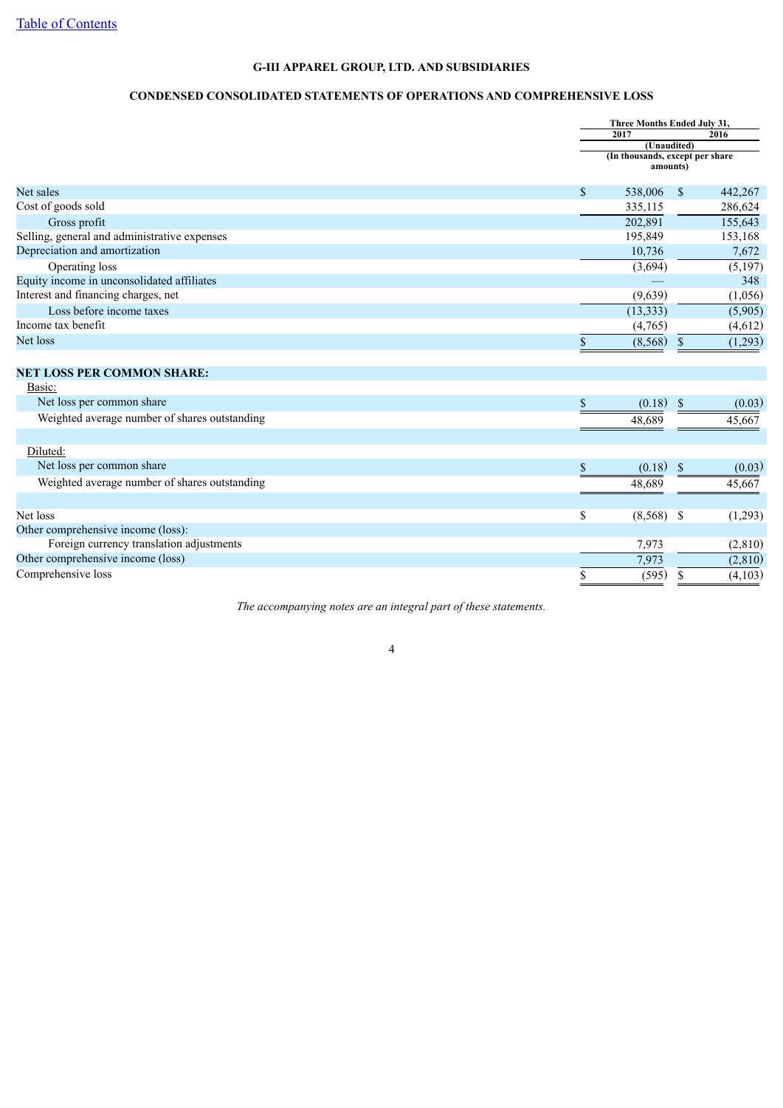### **CONDENSED CONSOLIDATED STATEMENTS OF OPERATIONS AND COMPREHENSIVE LOSS**

<span id="page-3-0"></span>

|                                               |               | Three Months Ended July 31,                 |          |
|-----------------------------------------------|---------------|---------------------------------------------|----------|
|                                               |               | 2017                                        | 2016     |
|                                               |               | (Unaudited)                                 |          |
|                                               |               | (In thousands, except per share<br>amounts) |          |
| Net sales                                     | $\mathcal{S}$ | 538,006<br>$\mathbb{S}$                     | 442,267  |
| Cost of goods sold                            |               | 335,115                                     | 286,624  |
| Gross profit                                  |               | 202,891                                     | 155,643  |
| Selling, general and administrative expenses  |               | 195,849                                     | 153,168  |
| Depreciation and amortization                 |               | 10,736                                      | 7,672    |
| Operating loss                                |               | (3,694)                                     | (5,197)  |
| Equity income in unconsolidated affiliates    |               |                                             | 348      |
| Interest and financing charges, net           |               | (9,639)                                     | (1,056)  |
| Loss before income taxes                      |               | (13, 333)                                   | (5,905)  |
| Income tax benefit                            |               | (4,765)                                     | (4,612)  |
| Net loss                                      | \$            | (8, 568)<br>\$                              | (1,293)  |
|                                               |               |                                             |          |
| <b>NET LOSS PER COMMON SHARE:</b>             |               |                                             |          |
| Basic:                                        |               |                                             |          |
| Net loss per common share                     | \$            | (0.18)<br>$\mathbb{S}$                      | (0.03)   |
| Weighted average number of shares outstanding |               | 48,689                                      | 45,667   |
|                                               |               |                                             |          |
| Diluted:                                      |               |                                             |          |
| Net loss per common share                     | \$            | (0.18)<br><sup>\$</sup>                     | (0.03)   |
| Weighted average number of shares outstanding |               | 48,689                                      | 45,667   |
|                                               |               |                                             |          |
| Net loss                                      | \$            | $(8,568)$ \$                                | (1,293)  |
| Other comprehensive income (loss):            |               |                                             |          |
| Foreign currency translation adjustments      |               | 7,973                                       | (2, 810) |
| Other comprehensive income (loss)             |               | 7,973                                       | (2, 810) |
| Comprehensive loss                            | \$            | (595)<br>\$                                 | (4,103)  |

*The accompanying notes are an integral part of these statements.*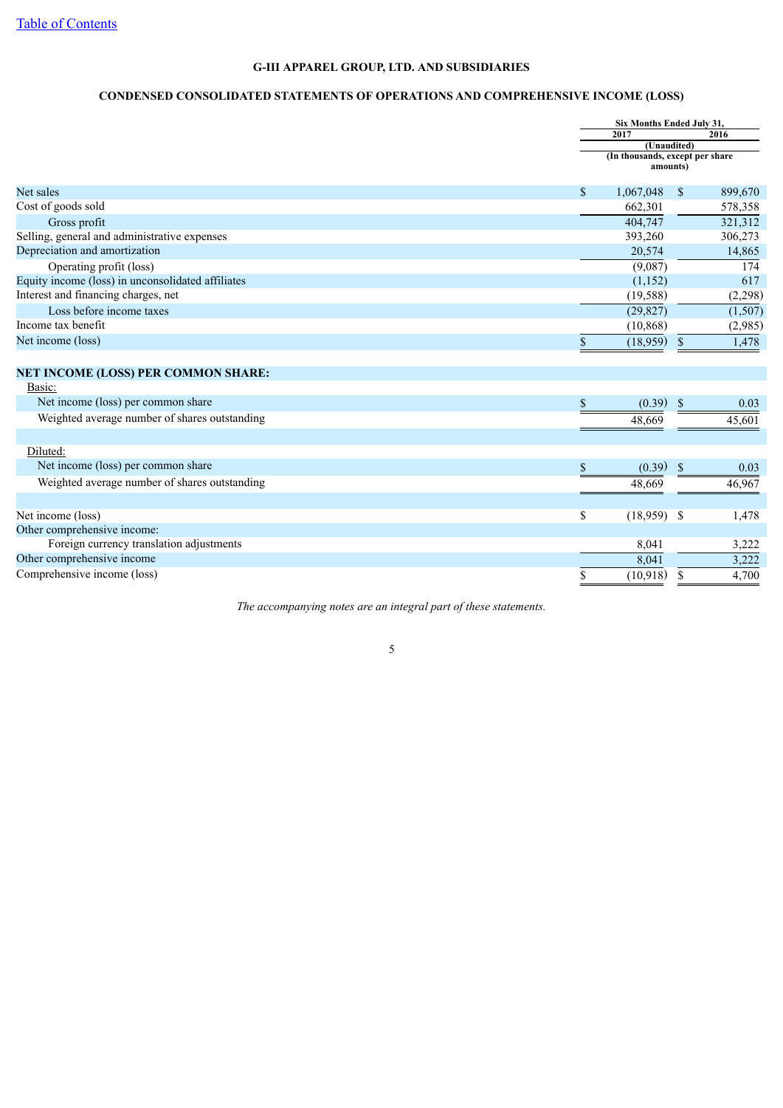### **CONDENSED CONSOLIDATED STATEMENTS OF OPERATIONS AND COMPREHENSIVE INCOME (LOSS)**

<span id="page-4-0"></span>

|                                                   |              | Six Months Ended July 31,                   |               |         |
|---------------------------------------------------|--------------|---------------------------------------------|---------------|---------|
|                                                   |              | 2017                                        |               | 2016    |
|                                                   |              | (Unaudited)                                 |               |         |
|                                                   |              | (In thousands, except per share<br>amounts) |               |         |
| Net sales                                         | \$           | 1,067,048                                   | $\mathbf{\$}$ | 899,670 |
| Cost of goods sold                                |              | 662,301                                     |               | 578,358 |
| Gross profit                                      |              | 404,747                                     |               | 321,312 |
| Selling, general and administrative expenses      |              | 393,260                                     |               | 306,273 |
| Depreciation and amortization                     |              | 20,574                                      |               | 14,865  |
| Operating profit (loss)                           |              | (9,087)                                     |               | 174     |
| Equity income (loss) in unconsolidated affiliates |              | (1,152)                                     |               | 617     |
| Interest and financing charges, net               |              | (19, 588)                                   |               | (2,298) |
| Loss before income taxes                          |              | (29, 827)                                   |               | (1,507) |
| Income tax benefit                                |              | (10, 868)                                   |               | (2,985) |
| Net income (loss)                                 | $\mathbb{S}$ | (18, 959)                                   | <sup>S</sup>  | 1,478   |
|                                                   |              |                                             |               |         |
| <b>NET INCOME (LOSS) PER COMMON SHARE:</b>        |              |                                             |               |         |
| Basic:                                            |              |                                             |               |         |
| Net income (loss) per common share                | \$           | (0.39)                                      | <sup>\$</sup> | 0.03    |
| Weighted average number of shares outstanding     |              | 48,669                                      |               | 45,601  |
| Diluted:                                          |              |                                             |               |         |
| Net income (loss) per common share                | \$           | (0.39)                                      | <sup>\$</sup> | 0.03    |
| Weighted average number of shares outstanding     |              | 48,669                                      |               | 46,967  |
|                                                   |              |                                             |               |         |
| Net income (loss)                                 | \$           | $(18,959)$ \$                               |               | 1,478   |
| Other comprehensive income:                       |              |                                             |               |         |
| Foreign currency translation adjustments          |              | 8,041                                       |               | 3,222   |
| Other comprehensive income                        |              | 8,041                                       |               | 3,222   |
| Comprehensive income (loss)                       | \$           | (10.918)                                    | \$            | 4,700   |

*The accompanying notes are an integral part of these statements.*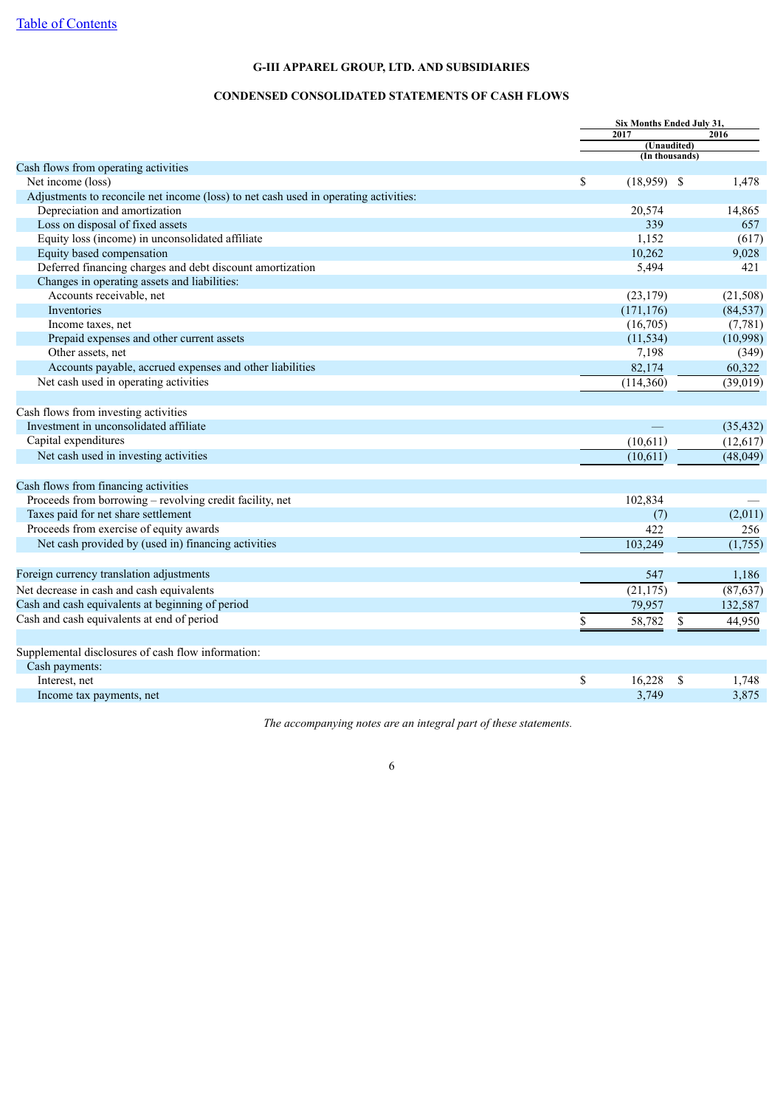### **CONDENSED CONSOLIDATED STATEMENTS OF CASH FLOWS**

<span id="page-5-0"></span>

|                                                                                      | Six Months Ended July 31,     |              |
|--------------------------------------------------------------------------------------|-------------------------------|--------------|
|                                                                                      | 2017                          | 2016         |
|                                                                                      | (Unaudited)<br>(In thousands) |              |
| Cash flows from operating activities                                                 |                               |              |
| Net income (loss)                                                                    | \$<br>$(18,959)$ \$           | 1,478        |
| Adjustments to reconcile net income (loss) to net cash used in operating activities: |                               |              |
| Depreciation and amortization                                                        | 20,574                        | 14,865       |
| Loss on disposal of fixed assets                                                     | 339                           | 657          |
| Equity loss (income) in unconsolidated affiliate                                     | 1,152                         | (617)        |
| Equity based compensation                                                            | 10,262                        | 9,028        |
| Deferred financing charges and debt discount amortization                            | 5,494                         | 421          |
| Changes in operating assets and liabilities:                                         |                               |              |
| Accounts receivable, net                                                             | (23, 179)                     | (21,508)     |
| Inventories                                                                          | (171, 176)                    | (84, 537)    |
| Income taxes, net                                                                    | (16,705)                      | (7,781)      |
| Prepaid expenses and other current assets                                            | (11, 534)                     | (10,998)     |
| Other assets, net                                                                    | 7,198                         | (349)        |
| Accounts payable, accrued expenses and other liabilities                             | 82,174                        | 60,322       |
| Net cash used in operating activities                                                | (114,360)                     | (39,019)     |
|                                                                                      |                               |              |
| Cash flows from investing activities                                                 |                               |              |
| Investment in unconsolidated affiliate                                               |                               | (35, 432)    |
| Capital expenditures                                                                 | (10,611)                      | (12,617)     |
| Net cash used in investing activities                                                | (10,611)                      | (48,049)     |
|                                                                                      |                               |              |
| Cash flows from financing activities                                                 |                               |              |
| Proceeds from borrowing - revolving credit facility, net                             | 102,834                       |              |
| Taxes paid for net share settlement                                                  | (7)                           | (2,011)      |
| Proceeds from exercise of equity awards                                              | 422                           | 256          |
| Net cash provided by (used in) financing activities                                  | 103,249                       | (1,755)      |
|                                                                                      |                               |              |
| Foreign currency translation adjustments                                             | 547                           | 1,186        |
| Net decrease in cash and cash equivalents                                            | (21, 175)                     | (87, 637)    |
| Cash and cash equivalents at beginning of period                                     | 79,957                        | 132,587      |
| Cash and cash equivalents at end of period                                           |                               |              |
|                                                                                      | \$<br>58,782                  | \$<br>44,950 |
| Supplemental disclosures of cash flow information:                                   |                               |              |
| Cash payments:                                                                       |                               |              |
| Interest, net                                                                        | \$<br>16,228                  | \$<br>1,748  |
| Income tax payments, net                                                             | 3,749                         | 3,875        |
|                                                                                      |                               |              |

*The accompanying notes are an integral part of these statements.*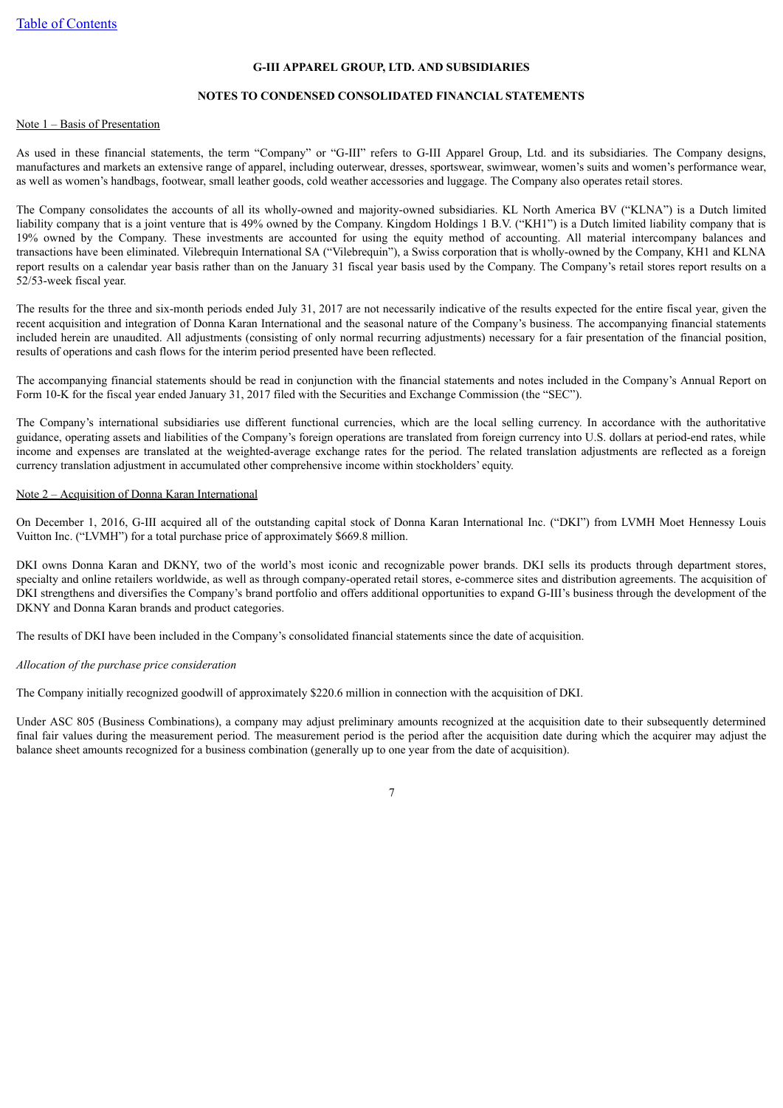#### **NOTES TO CONDENSED CONSOLIDATED FINANCIAL STATEMENTS**

#### <span id="page-6-0"></span>Note 1 – Basis of Presentation

As used in these financial statements, the term "Company" or "G-III" refers to G-III Apparel Group, Ltd. and its subsidiaries. The Company designs, manufactures and markets an extensive range of apparel, including outerwear, dresses, sportswear, swimwear, women's suits and women's performance wear, as well as women's handbags, footwear, small leather goods, cold weather accessories and luggage. The Company also operates retail stores.

The Company consolidates the accounts of all its wholly-owned and majority-owned subsidiaries. KL North America BV ("KLNA") is a Dutch limited liability company that is a joint venture that is 49% owned by the Company. Kingdom Holdings 1 B.V. ("KH1") is a Dutch limited liability company that is 19% owned by the Company. These investments are accounted for using the equity method of accounting. All material intercompany balances and transactions have been eliminated. Vilebrequin International SA ("Vilebrequin"), a Swiss corporation that is wholly-owned by the Company, KH1 and KLNA report results on a calendar year basis rather than on the January 31 fiscal year basis used by the Company. The Company's retail stores report results on a 52/53-week fiscal year.

The results for the three and six-month periods ended July 31, 2017 are not necessarily indicative of the results expected for the entire fiscal year, given the recent acquisition and integration of Donna Karan International and the seasonal nature of the Company's business. The accompanying financial statements included herein are unaudited. All adjustments (consisting of only normal recurring adjustments) necessary for a fair presentation of the financial position, results of operations and cash flows for the interim period presented have been reflected.

The accompanying financial statements should be read in conjunction with the financial statements and notes included in the Company's Annual Report on Form 10-K for the fiscal year ended January 31, 2017 filed with the Securities and Exchange Commission (the "SEC").

The Company's international subsidiaries use different functional currencies, which are the local selling currency. In accordance with the authoritative guidance, operating assets and liabilities of the Company's foreign operations are translated from foreign currency into U.S. dollars at period-end rates, while income and expenses are translated at the weighted-average exchange rates for the period. The related translation adjustments are reflected as a foreign currency translation adjustment in accumulated other comprehensive income within stockholders' equity.

#### Note 2 – Acquisition of Donna Karan International

On December 1, 2016, G-III acquired all of the outstanding capital stock of Donna Karan International Inc. ("DKI") from LVMH Moet Hennessy Louis Vuitton Inc. ("LVMH") for a total purchase price of approximately \$669.8 million.

DKI owns Donna Karan and DKNY, two of the world's most iconic and recognizable power brands. DKI sells its products through department stores, specialty and online retailers worldwide, as well as through company-operated retail stores, e-commerce sites and distribution agreements. The acquisition of DKI strengthens and diversifies the Company's brand portfolio and offers additional opportunities to expand G-III's business through the development of the DKNY and Donna Karan brands and product categories.

The results of DKI have been included in the Company's consolidated financial statements since the date of acquisition.

#### *Allocation of the purchase price consideration*

The Company initially recognized goodwill of approximately \$220.6 million in connection with the acquisition of DKI.

Under ASC 805 (Business Combinations), a company may adjust preliminary amounts recognized at the acquisition date to their subsequently determined final fair values during the measurement period. The measurement period is the period after the acquisition date during which the acquirer may adjust the balance sheet amounts recognized for a business combination (generally up to one year from the date of acquisition).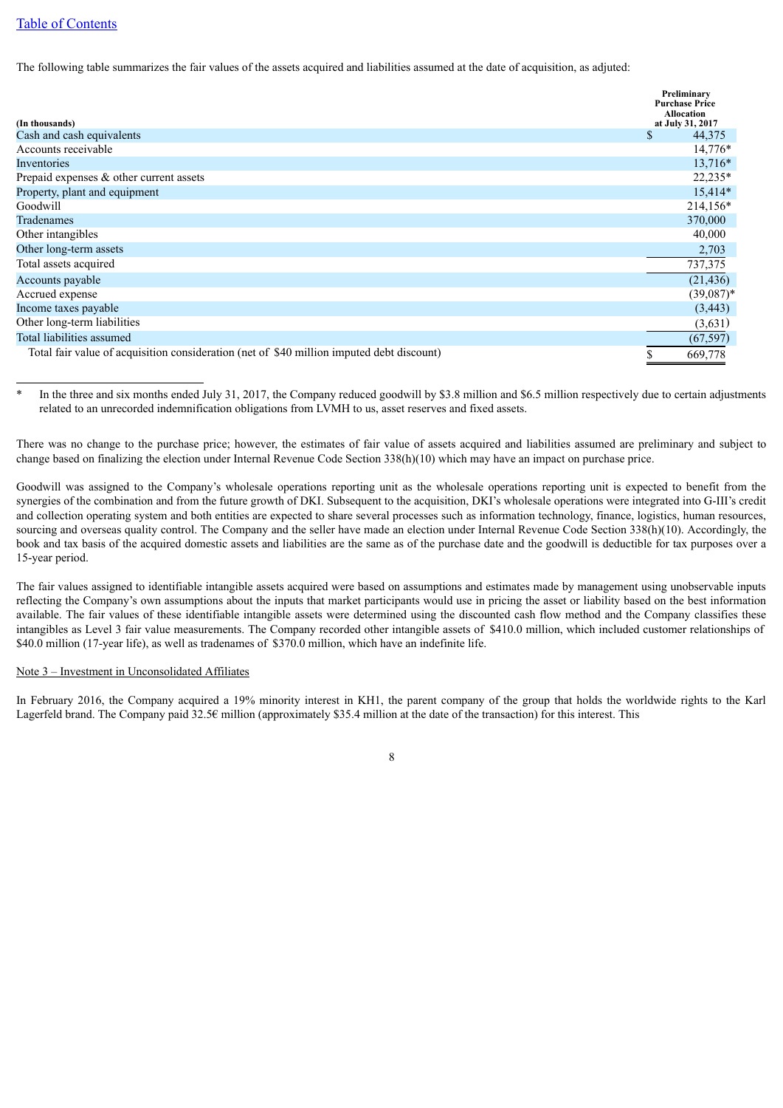### [Table of Contents](#page-1-0)

The following table summarizes the fair values of the assets acquired and liabilities assumed at the date of acquisition, as adjuted:

| (In thousands)                                                                            | Preliminary<br><b>Purchase Price</b><br><b>Allocation</b><br>at July 31, 2017 |
|-------------------------------------------------------------------------------------------|-------------------------------------------------------------------------------|
| Cash and cash equivalents                                                                 | \$<br>44,375                                                                  |
| Accounts receivable                                                                       | $14,776*$                                                                     |
| Inventories                                                                               | 13,716*                                                                       |
| Prepaid expenses $\&$ other current assets                                                | 22,235*                                                                       |
| Property, plant and equipment                                                             | $15,414*$                                                                     |
| Goodwill                                                                                  | 214,156*                                                                      |
| Tradenames                                                                                | 370,000                                                                       |
| Other intangibles                                                                         | 40,000                                                                        |
| Other long-term assets                                                                    | 2,703                                                                         |
| Total assets acquired                                                                     | 737,375                                                                       |
| Accounts payable                                                                          | (21, 436)                                                                     |
| Accrued expense                                                                           | $(39,087)^*$                                                                  |
| Income taxes payable                                                                      | (3, 443)                                                                      |
| Other long-term liabilities                                                               | (3,631)                                                                       |
| Total liabilities assumed                                                                 | (67, 597)                                                                     |
| Total fair value of acquisition consideration (net of \$40 million imputed debt discount) | \$<br>669,778                                                                 |

In the three and six months ended July 31, 2017, the Company reduced goodwill by \$3.8 million and \$6.5 million respectively due to certain adjustments related to an unrecorded indemnification obligations from LVMH to us, asset reserves and fixed assets.

There was no change to the purchase price; however, the estimates of fair value of assets acquired and liabilities assumed are preliminary and subject to change based on finalizing the election under Internal Revenue Code Section 338(h)(10) which may have an impact on purchase price.

Goodwill was assigned to the Company's wholesale operations reporting unit as the wholesale operations reporting unit is expected to benefit from the synergies of the combination and from the future growth of DKI. Subsequent to the acquisition, DKI's wholesale operations were integrated into G-III's credit and collection operating system and both entities are expected to share several processes such as information technology, finance, logistics, human resources, sourcing and overseas quality control. The Company and the seller have made an election under Internal Revenue Code Section 338(h)(10). Accordingly, the book and tax basis of the acquired domestic assets and liabilities are the same as of the purchase date and the goodwill is deductible for tax purposes over a 15-year period.

The fair values assigned to identifiable intangible assets acquired were based on assumptions and estimates made by management using unobservable inputs reflecting the Company's own assumptions about the inputs that market participants would use in pricing the asset or liability based on the best information available. The fair values of these identifiable intangible assets were determined using the discounted cash flow method and the Company classifies these intangibles as Level 3 fair value measurements. The Company recorded other intangible assets of \$410.0 million, which included customer relationships of \$40.0 million (17-year life), as well as tradenames of \$370.0 million, which have an indefinite life.

#### Note 3 – Investment in Unconsolidated Affiliates

In February 2016, the Company acquired a 19% minority interest in KH1, the parent company of the group that holds the worldwide rights to the Karl Lagerfeld brand. The Company paid 32.5€ million (approximately \$35.4 million at the date of the transaction) for this interest. This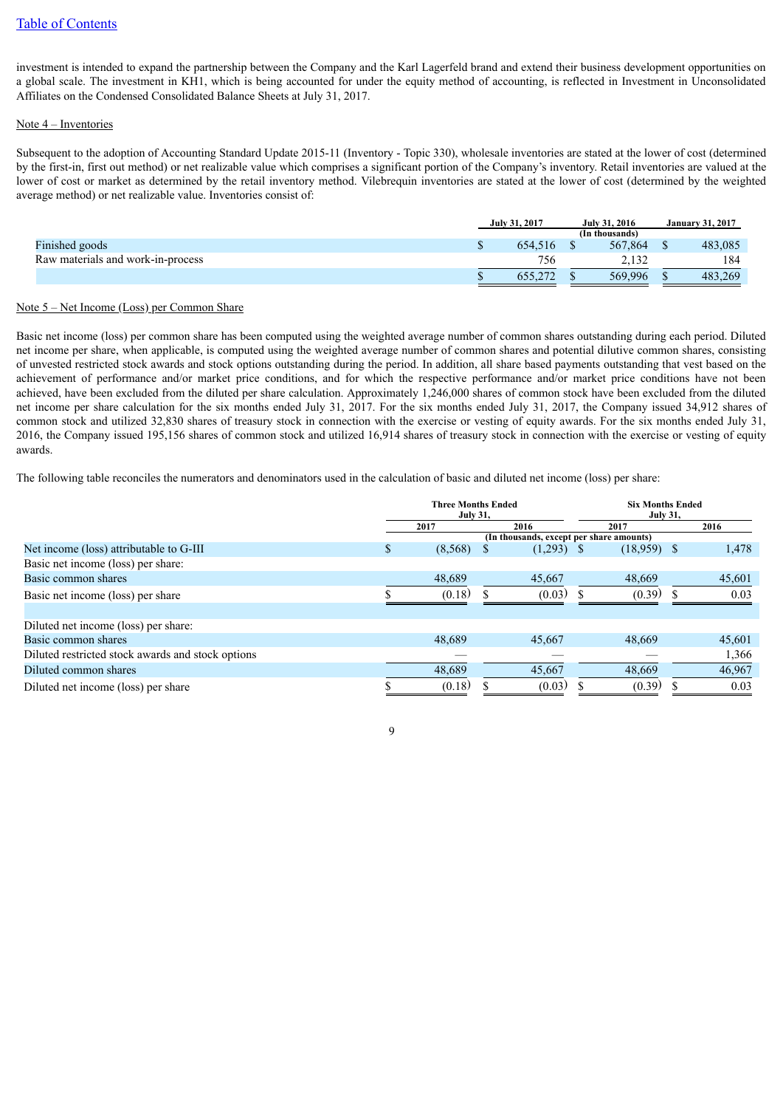investment is intended to expand the partnership between the Company and the Karl Lagerfeld brand and extend their business development opportunities on a global scale. The investment in KH1, which is being accounted for under the equity method of accounting, is reflected in Investment in Unconsolidated Affiliates on the Condensed Consolidated Balance Sheets at July 31, 2017.

#### Note 4 – Inventories

Subsequent to the adoption of Accounting Standard Update 2015-11 (Inventory - Topic 330), wholesale inventories are stated at the lower of cost (determined by the first-in, first out method) or net realizable value which comprises a significant portion of the Company's inventory. Retail inventories are valued at the lower of cost or market as determined by the retail inventory method. Vilebrequin inventories are stated at the lower of cost (determined by the weighted average method) or net realizable value. Inventories consist of:

|                                   | July 31, 2017  |         | July 31, 2016 |         | <b>January 31, 2017</b> |
|-----------------------------------|----------------|---------|---------------|---------|-------------------------|
|                                   | (In thousands) |         |               |         |                         |
| Finished goods                    |                | 654.516 |               | 567,864 | 483.085                 |
| Raw materials and work-in-process |                | 756     |               | 2.132   | 184                     |
|                                   |                | 655,272 |               | 569,996 | 483.269                 |

#### Note 5 – Net Income (Loss) per Common Share

Basic net income (loss) per common share has been computed using the weighted average number of common shares outstanding during each period. Diluted net income per share, when applicable, is computed using the weighted average number of common shares and potential dilutive common shares, consisting of unvested restricted stock awards and stock options outstanding during the period. In addition, all share based payments outstanding that vest based on the achievement of performance and/or market price conditions, and for which the respective performance and/or market price conditions have not been achieved, have been excluded from the diluted per share calculation. Approximately 1,246,000 shares of common stock have been excluded from the diluted net income per share calculation for the six months ended July 31, 2017. For the six months ended July 31, 2017, the Company issued 34,912 shares of common stock and utilized 32,830 shares of treasury stock in connection with the exercise or vesting of equity awards. For the six months ended July 31, 2016, the Company issued 195,156 shares of common stock and utilized 16,914 shares of treasury stock in connection with the exercise or vesting of equity awards.

The following table reconciles the numerators and denominators used in the calculation of basic and diluted net income (loss) per share:

|                                                   | <b>Three Months Ended</b><br><b>July 31.</b> |         |  |                                          | <b>Six Months Ended</b> |               |  |        |
|---------------------------------------------------|----------------------------------------------|---------|--|------------------------------------------|-------------------------|---------------|--|--------|
|                                                   |                                              | 2017    |  | 2016                                     |                         | 2017          |  | 2016   |
|                                                   |                                              |         |  | (In thousands, except per share amounts) |                         |               |  |        |
| Net income (loss) attributable to G-III           | S                                            | (8,568) |  | $(1,293)$ \$                             |                         | $(18,959)$ \$ |  | 1,478  |
| Basic net income (loss) per share:                |                                              |         |  |                                          |                         |               |  |        |
| Basic common shares                               |                                              | 48.689  |  | 45,667                                   |                         | 48,669        |  | 45,601 |
| Basic net income (loss) per share                 |                                              | (0.18)  |  | (0.03)                                   |                         | (0.39)        |  | 0.03   |
|                                                   |                                              |         |  |                                          |                         |               |  |        |
| Diluted net income (loss) per share:              |                                              |         |  |                                          |                         |               |  |        |
| Basic common shares                               |                                              | 48,689  |  | 45,667                                   |                         | 48,669        |  | 45,601 |
| Diluted restricted stock awards and stock options |                                              |         |  |                                          |                         |               |  | 1,366  |
| Diluted common shares                             |                                              | 48,689  |  | 45,667                                   |                         | 48,669        |  | 46,967 |
| Diluted net income (loss) per share               |                                              | (0.18)  |  | (0.03)                                   |                         | (0.39)        |  | 0.03   |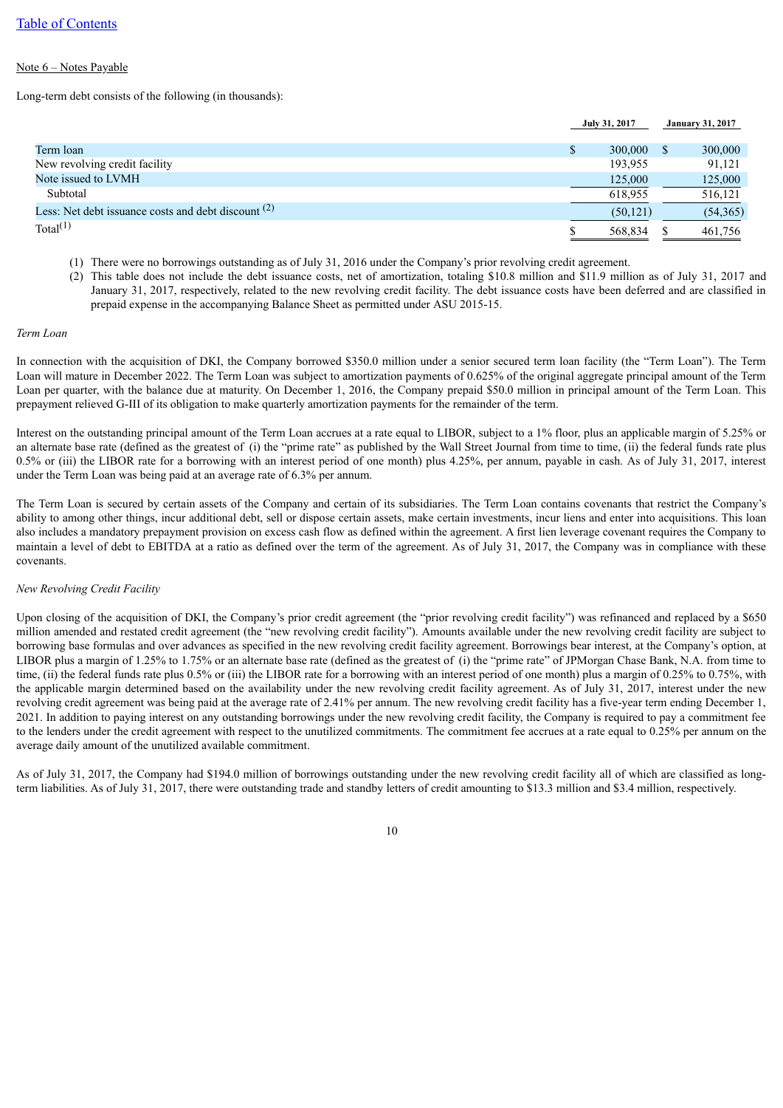#### Note 6 – Notes Payable

Long-term debt consists of the following (in thousands):

|                                                       | July 31, 2017 | <b>January 31, 2017</b> |
|-------------------------------------------------------|---------------|-------------------------|
|                                                       |               |                         |
| Term loan                                             | 300,000<br>\$ | 300,000                 |
| New revolving credit facility                         | 193,955       | 91,121                  |
| Note issued to LVMH                                   | 125,000       | 125,000                 |
| Subtotal                                              | 618.955       | 516,121                 |
| Less: Net debt issuance costs and debt discount $(2)$ | (50, 121)     | (54,365)                |
| Total $(1)$                                           | 568,834       | 461,756                 |
|                                                       |               |                         |

(1) There were no borrowings outstanding as of July 31, 2016 under the Company's prior revolving credit agreement.

(2) This table does not include the debt issuance costs, net of amortization, totaling \$10.8 million and \$11.9 million as of July 31, 2017 and January 31, 2017, respectively, related to the new revolving credit facility. The debt issuance costs have been deferred and are classified in prepaid expense in the accompanying Balance Sheet as permitted under ASU 2015-15.

#### *Term Loan*

In connection with the acquisition of DKI, the Company borrowed \$350.0 million under a senior secured term loan facility (the "Term Loan"). The Term Loan will mature in December 2022. The Term Loan was subject to amortization payments of 0.625% of the original aggregate principal amount of the Term Loan per quarter, with the balance due at maturity. On December 1, 2016, the Company prepaid \$50.0 million in principal amount of the Term Loan. This prepayment relieved G-III of its obligation to make quarterly amortization payments for the remainder of the term.

Interest on the outstanding principal amount of the Term Loan accrues at a rate equal to LIBOR, subject to a 1% floor, plus an applicable margin of 5.25% or an alternate base rate (defined as the greatest of (i) the "prime rate" as published by the Wall Street Journal from time to time, (ii) the federal funds rate plus 0.5% or (iii) the LIBOR rate for a borrowing with an interest period of one month) plus 4.25%, per annum, payable in cash. As of July 31, 2017, interest under the Term Loan was being paid at an average rate of 6.3% per annum.

The Term Loan is secured by certain assets of the Company and certain of its subsidiaries. The Term Loan contains covenants that restrict the Company's ability to among other things, incur additional debt, sell or dispose certain assets, make certain investments, incur liens and enter into acquisitions. This loan also includes a mandatory prepayment provision on excess cash flow as defined within the agreement. A first lien leverage covenant requires the Company to maintain a level of debt to EBITDA at a ratio as defined over the term of the agreement. As of July 31, 2017, the Company was in compliance with these covenants.

#### *New Revolving Credit Facility*

Upon closing of the acquisition of DKI, the Company's prior credit agreement (the "prior revolving credit facility") was refinanced and replaced by a \$650 million amended and restated credit agreement (the "new revolving credit facility"). Amounts available under the new revolving credit facility are subject to borrowing base formulas and over advances as specified in the new revolving credit facility agreement. Borrowings bear interest, at the Company's option, at LIBOR plus a margin of 1.25% to 1.75% or an alternate base rate (defined as the greatest of (i) the "prime rate" of JPMorgan Chase Bank, N.A. from time to time, (ii) the federal funds rate plus 0.5% or (iii) the LIBOR rate for a borrowing with an interest period of one month) plus a margin of 0.25% to 0.75%, with the applicable margin determined based on the availability under the new revolving credit facility agreement. As of July 31, 2017, interest under the new revolving credit agreement was being paid at the average rate of 2.41% per annum. The new revolving credit facility has a five-year term ending December 1, 2021. In addition to paying interest on any outstanding borrowings under the new revolving credit facility, the Company is required to pay a commitment fee to the lenders under the credit agreement with respect to the unutilized commitments. The commitment fee accrues at a rate equal to 0.25% per annum on the average daily amount of the unutilized available commitment.

As of July 31, 2017, the Company had \$194.0 million of borrowings outstanding under the new revolving credit facility all of which are classified as longterm liabilities. As of July 31, 2017, there were outstanding trade and standby letters of credit amounting to \$13.3 million and \$3.4 million, respectively.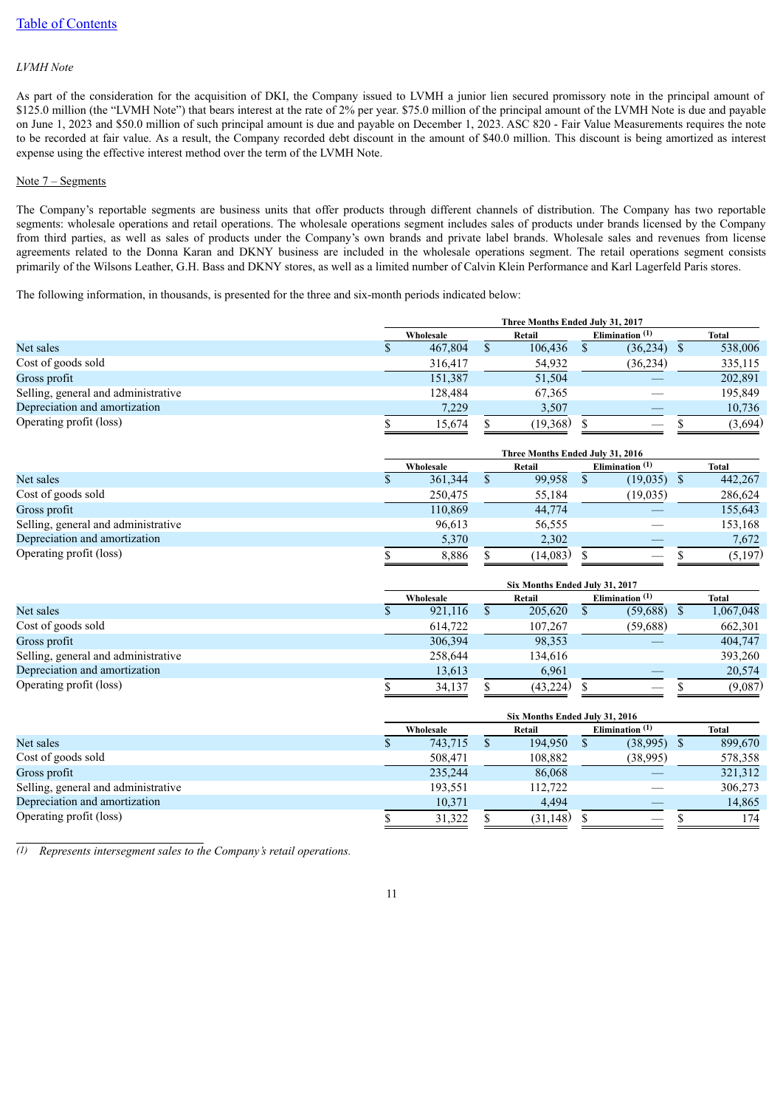### *LVMH Note*

As part of the consideration for the acquisition of DKI, the Company issued to LVMH a junior lien secured promissory note in the principal amount of \$125.0 million (the "LVMH Note") that bears interest at the rate of 2% per year. \$75.0 million of the principal amount of the LVMH Note is due and payable on June 1, 2023 and \$50.0 million of such principal amount is due and payable on December 1, 2023. ASC 820 - Fair Value Measurements requires the note to be recorded at fair value. As a result, the Company recorded debt discount in the amount of \$40.0 million. This discount is being amortized as interest expense using the effective interest method over the term of the LVMH Note.

#### Note 7 – Segments

The Company's reportable segments are business units that offer products through different channels of distribution. The Company has two reportable segments: wholesale operations and retail operations. The wholesale operations segment includes sales of products under brands licensed by the Company from third parties, as well as sales of products under the Company's own brands and private label brands. Wholesale sales and revenues from license agreements related to the Donna Karan and DKNY business are included in the wholesale operations segment. The retail operations segment consists primarily of the Wilsons Leather, G.H. Bass and DKNY stores, as well as a limited number of Calvin Klein Performance and Karl Lagerfeld Paris stores.

The following information, in thousands, is presented for the three and six-month periods indicated below:

|                                     | Three Months Ended July 31, 2017 |  |          |  |                            |  |         |  |
|-------------------------------------|----------------------------------|--|----------|--|----------------------------|--|---------|--|
|                                     | Wholesale                        |  | Retail   |  | Elimination <sup>(1)</sup> |  | Total   |  |
| Net sales                           | 467,804                          |  | 106,436  |  | (36,234)                   |  | 538,006 |  |
| Cost of goods sold                  | 316,417                          |  | 54,932   |  | (36, 234)                  |  | 335,115 |  |
| Gross profit                        | 151.387                          |  | 51,504   |  |                            |  | 202,891 |  |
| Selling, general and administrative | 128,484                          |  | 67,365   |  |                            |  | 195,849 |  |
| Depreciation and amortization       | 7.229                            |  | 3,507    |  |                            |  | 10,736  |  |
| Operating profit (loss)             | 15,674                           |  | (19,368) |  |                            |  | (3,694) |  |
|                                     |                                  |  |          |  |                            |  |         |  |

|                                     | Three Months Ended July 31, 2016 |        |          |                            |               |  |         |
|-------------------------------------|----------------------------------|--------|----------|----------------------------|---------------|--|---------|
|                                     | Wholesale                        | Retail |          | Elimination <sup>(1)</sup> |               |  | Total   |
| Net sales                           | 361,344                          |        | 99,958   |                            | $(19,035)$ \$ |  | 442,267 |
| Cost of goods sold                  | 250,475                          |        | 55,184   |                            | (19, 035)     |  | 286,624 |
| Gross profit                        | 110.869                          |        | 44,774   |                            |               |  | 155,643 |
| Selling, general and administrative | 96.613                           |        | 56,555   |                            |               |  | 153,168 |
| Depreciation and amortization       | 5,370                            |        | 2,302    |                            |               |  | 7.672   |
| Operating profit (loss)             | 8,886                            |        | (14,083) |                            |               |  | (5,197) |

|                                     | Six Months Ended July 31, 2017 |           |  |           |  |                            |  |           |
|-------------------------------------|--------------------------------|-----------|--|-----------|--|----------------------------|--|-----------|
|                                     |                                | Wholesale |  | Retail    |  | Elimination <sup>(1)</sup> |  | Total     |
| Net sales                           |                                | 921,116   |  | 205,620   |  | (59,688)                   |  | 1,067,048 |
| Cost of goods sold                  |                                | 614.722   |  | 107,267   |  | (59,688)                   |  | 662,301   |
| Gross profit                        |                                | 306,394   |  | 98,353    |  |                            |  | 404,747   |
| Selling, general and administrative |                                | 258,644   |  | 134,616   |  |                            |  | 393,260   |
| Depreciation and amortization       |                                | 13,613    |  | 6,961     |  |                            |  | 20,574    |
| Operating profit (loss)             |                                | 34,137    |  | (43, 224) |  | $\hspace{0.05cm}$          |  | (9,087)   |

|                                     | Six Months Ended July 31, 2016 |  |           |                            |               |  |         |
|-------------------------------------|--------------------------------|--|-----------|----------------------------|---------------|--|---------|
|                                     | Wholesale                      |  | Retail    | Elimination <sup>(1)</sup> |               |  | Total   |
| Net sales                           | 743,715                        |  | 194,950   |                            | $(38,995)$ \$ |  | 899,670 |
| Cost of goods sold                  | 508,471                        |  | 108.882   |                            | (38,995)      |  | 578,358 |
| Gross profit                        | 235,244                        |  | 86,068    |                            |               |  | 321,312 |
| Selling, general and administrative | 193,551                        |  | 112,722   |                            |               |  | 306,273 |
| Depreciation and amortization       | 10,371                         |  | 4.494     |                            |               |  | 14,865  |
| Operating profit (loss)             | 31,322                         |  | (31, 148) |                            |               |  | 174     |

*(1) Represents intersegment sales to the Company's retail operations.*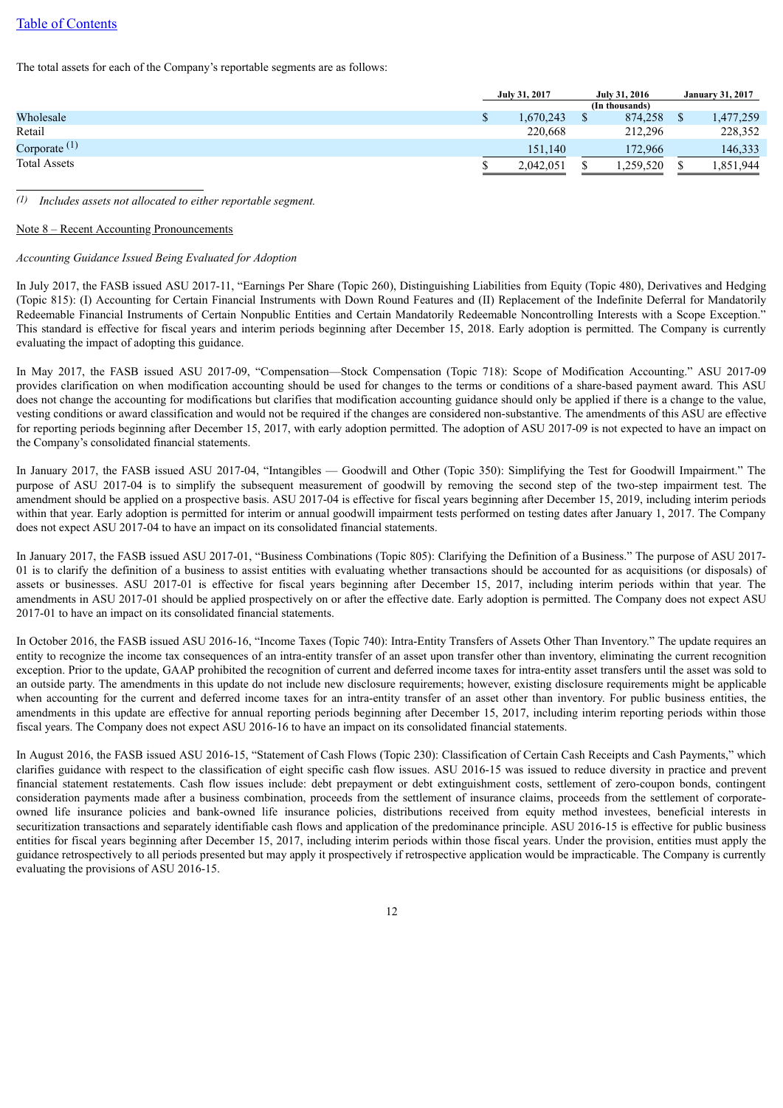### [Table of Contents](#page-1-0)

The total assets for each of the Company's reportable segments are as follows:

|                     | July 31, 2017 | <b>July 31, 2016</b> |                | <b>January 31, 2017</b> |           |
|---------------------|---------------|----------------------|----------------|-------------------------|-----------|
|                     |               |                      | (In thousands) |                         |           |
| Wholesale           | 1,670,243     |                      | 874.258        |                         | 1,477,259 |
| Retail              | 220.668       |                      | 212,296        |                         | 228,352   |
| Corporate $(1)$     | 151.140       |                      | 172.966        |                         | 146,333   |
| <b>Total Assets</b> | 2,042,051     |                      | ,259,520       |                         | .851,944  |

*(1) Includes assets not allocated to either reportable segment.*

#### Note 8 – Recent Accounting Pronouncements

#### *Accounting Guidance Issued Being Evaluated for Adoption*

In July 2017, the FASB issued ASU 2017-11, "Earnings Per Share (Topic 260), Distinguishing Liabilities from Equity (Topic 480), Derivatives and Hedging (Topic 815): (I) Accounting for Certain Financial Instruments with Down Round Features and (II) Replacement of the Indefinite Deferral for Mandatorily Redeemable Financial Instruments of Certain Nonpublic Entities and Certain Mandatorily Redeemable Noncontrolling Interests with a Scope Exception." This standard is effective for fiscal years and interim periods beginning after December 15, 2018. Early adoption is permitted. The Company is currently evaluating the impact of adopting this guidance.

In May 2017, the FASB issued ASU 2017-09, "Compensation—Stock Compensation (Topic 718): Scope of Modification Accounting." ASU 2017-09 provides clarification on when modification accounting should be used for changes to the terms or conditions of a share-based payment award. This ASU does not change the accounting for modifications but clarifies that modification accounting guidance should only be applied if there is a change to the value, vesting conditions or award classification and would not be required if the changes are considered non-substantive. The amendments of this ASU are effective for reporting periods beginning after December 15, 2017, with early adoption permitted. The adoption of ASU 2017-09 is not expected to have an impact on the Company's consolidated financial statements.

In January 2017, the FASB issued ASU 2017-04, "Intangibles — Goodwill and Other (Topic 350): Simplifying the Test for Goodwill Impairment." The purpose of ASU 2017-04 is to simplify the subsequent measurement of goodwill by removing the second step of the two-step impairment test. The amendment should be applied on a prospective basis. ASU 2017-04 is effective for fiscal years beginning after December 15, 2019, including interim periods within that year. Early adoption is permitted for interim or annual goodwill impairment tests performed on testing dates after January 1, 2017. The Company does not expect ASU 2017-04 to have an impact on its consolidated financial statements.

In January 2017, the FASB issued ASU 2017-01, "Business Combinations (Topic 805): Clarifying the Definition of a Business." The purpose of ASU 2017- 01 is to clarify the definition of a business to assist entities with evaluating whether transactions should be accounted for as acquisitions (or disposals) of assets or businesses. ASU 2017-01 is effective for fiscal years beginning after December 15, 2017, including interim periods within that year. The amendments in ASU 2017-01 should be applied prospectively on or after the effective date. Early adoption is permitted. The Company does not expect ASU 2017-01 to have an impact on its consolidated financial statements.

In October 2016, the FASB issued ASU 2016-16, "Income Taxes (Topic 740): Intra-Entity Transfers of Assets Other Than Inventory." The update requires an entity to recognize the income tax consequences of an intra-entity transfer of an asset upon transfer other than inventory, eliminating the current recognition exception. Prior to the update, GAAP prohibited the recognition of current and deferred income taxes for intra-entity asset transfers until the asset was sold to an outside party. The amendments in this update do not include new disclosure requirements; however, existing disclosure requirements might be applicable when accounting for the current and deferred income taxes for an intra-entity transfer of an asset other than inventory. For public business entities, the amendments in this update are effective for annual reporting periods beginning after December 15, 2017, including interim reporting periods within those fiscal years. The Company does not expect ASU 2016-16 to have an impact on its consolidated financial statements.

In August 2016, the FASB issued ASU 2016-15, "Statement of Cash Flows (Topic 230): Classification of Certain Cash Receipts and Cash Payments," which clarifies guidance with respect to the classification of eight specific cash flow issues. ASU 2016-15 was issued to reduce diversity in practice and prevent financial statement restatements. Cash flow issues include: debt prepayment or debt extinguishment costs, settlement of zero-coupon bonds, contingent consideration payments made after a business combination, proceeds from the settlement of insurance claims, proceeds from the settlement of corporateowned life insurance policies and bank-owned life insurance policies, distributions received from equity method investees, beneficial interests in securitization transactions and separately identifiable cash flows and application of the predominance principle. ASU 2016-15 is effective for public business entities for fiscal years beginning after December 15, 2017, including interim periods within those fiscal years. Under the provision, entities must apply the guidance retrospectively to all periods presented but may apply it prospectively if retrospective application would be impracticable. The Company is currently evaluating the provisions of ASU 2016-15.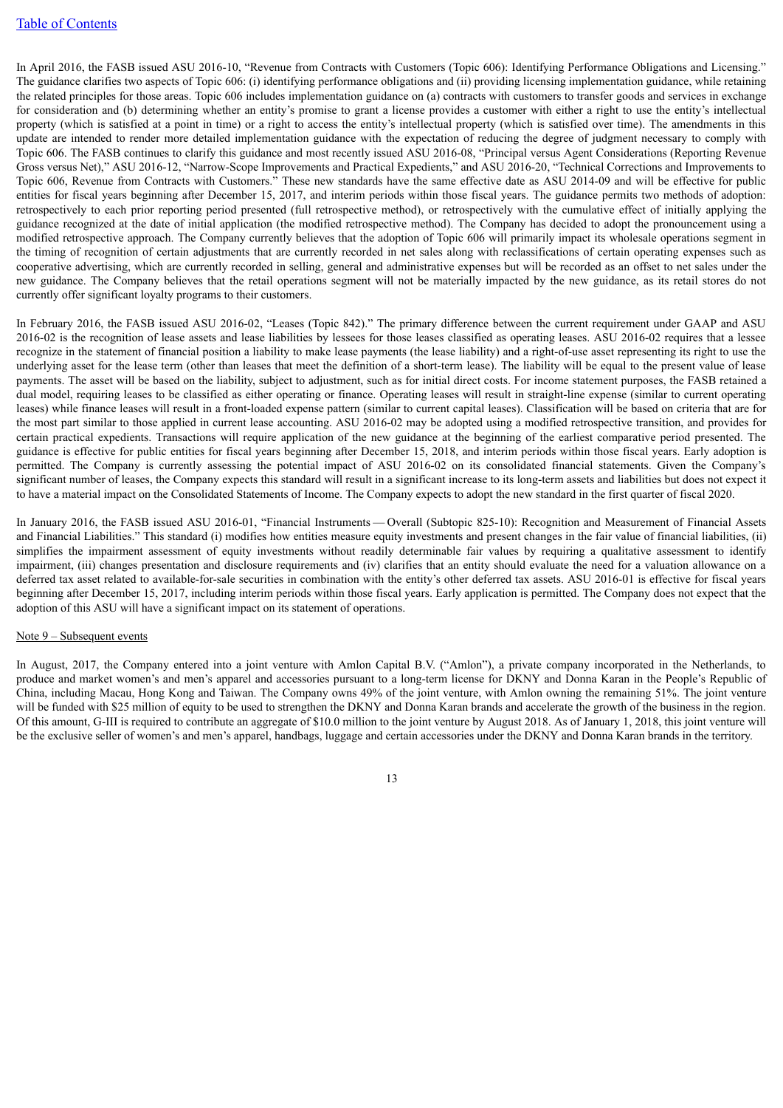In April 2016, the FASB issued ASU 2016-10, "Revenue from Contracts with Customers (Topic 606): Identifying Performance Obligations and Licensing." The guidance clarifies two aspects of Topic 606: (i) identifying performance obligations and (ii) providing licensing implementation guidance, while retaining the related principles for those areas. Topic 606 includes implementation guidance on (a) contracts with customers to transfer goods and services in exchange for consideration and (b) determining whether an entity's promise to grant a license provides a customer with either a right to use the entity's intellectual property (which is satisfied at a point in time) or a right to access the entity's intellectual property (which is satisfied over time). The amendments in this update are intended to render more detailed implementation guidance with the expectation of reducing the degree of judgment necessary to comply with Topic 606. The FASB continues to clarify this guidance and most recently issued ASU 2016-08, "Principal versus Agent Considerations (Reporting Revenue Gross versus Net)," ASU 2016-12, "Narrow-Scope Improvements and Practical Expedients," and ASU 2016-20, "Technical Corrections and Improvements to Topic 606, Revenue from Contracts with Customers." These new standards have the same effective date as ASU 2014-09 and will be effective for public entities for fiscal years beginning after December 15, 2017, and interim periods within those fiscal years. The guidance permits two methods of adoption: retrospectively to each prior reporting period presented (full retrospective method), or retrospectively with the cumulative effect of initially applying the guidance recognized at the date of initial application (the modified retrospective method). The Company has decided to adopt the pronouncement using a modified retrospective approach. The Company currently believes that the adoption of Topic 606 will primarily impact its wholesale operations segment in the timing of recognition of certain adjustments that are currently recorded in net sales along with reclassifications of certain operating expenses such as cooperative advertising, which are currently recorded in selling, general and administrative expenses but will be recorded as an offset to net sales under the new guidance. The Company believes that the retail operations segment will not be materially impacted by the new guidance, as its retail stores do not currently offer significant loyalty programs to their customers.

In February 2016, the FASB issued ASU 2016-02, "Leases (Topic 842)." The primary difference between the current requirement under GAAP and ASU 2016-02 is the recognition of lease assets and lease liabilities by lessees for those leases classified as operating leases. ASU 2016-02 requires that a lessee recognize in the statement of financial position a liability to make lease payments (the lease liability) and a right-of-use asset representing its right to use the underlying asset for the lease term (other than leases that meet the definition of a short-term lease). The liability will be equal to the present value of lease payments. The asset will be based on the liability, subject to adjustment, such as for initial direct costs. For income statement purposes, the FASB retained a dual model, requiring leases to be classified as either operating or finance. Operating leases will result in straight-line expense (similar to current operating leases) while finance leases will result in a front-loaded expense pattern (similar to current capital leases). Classification will be based on criteria that are for the most part similar to those applied in current lease accounting. ASU 2016-02 may be adopted using a modified retrospective transition, and provides for certain practical expedients. Transactions will require application of the new guidance at the beginning of the earliest comparative period presented. The guidance is effective for public entities for fiscal years beginning after December 15, 2018, and interim periods within those fiscal years. Early adoption is permitted. The Company is currently assessing the potential impact of ASU 2016-02 on its consolidated financial statements. Given the Company's significant number of leases, the Company expects this standard will result in a significant increase to its long-term assets and liabilities but does not expect it to have a material impact on the Consolidated Statements of Income. The Company expects to adopt the new standard in the first quarter of fiscal 2020.

In January 2016, the FASB issued ASU 2016-01, "Financial Instruments — Overall (Subtopic 825-10): Recognition and Measurement of Financial Assets and Financial Liabilities." This standard (i) modifies how entities measure equity investments and present changes in the fair value of financial liabilities, (ii) simplifies the impairment assessment of equity investments without readily determinable fair values by requiring a qualitative assessment to identify impairment, (iii) changes presentation and disclosure requirements and (iv) clarifies that an entity should evaluate the need for a valuation allowance on a deferred tax asset related to available-for-sale securities in combination with the entity's other deferred tax assets. ASU 2016-01 is effective for fiscal years beginning after December 15, 2017, including interim periods within those fiscal years. Early application is permitted. The Company does not expect that the adoption of this ASU will have a significant impact on its statement of operations.

#### Note 9 – Subsequent events

In August, 2017, the Company entered into a joint venture with Amlon Capital B.V. ("Amlon"), a private company incorporated in the Netherlands, to produce and market women's and men's apparel and accessories pursuant to a long-term license for DKNY and Donna Karan in the People's Republic of China, including Macau, Hong Kong and Taiwan. The Company owns 49% of the joint venture, with Amlon owning the remaining 51%. The joint venture will be funded with \$25 million of equity to be used to strengthen the DKNY and Donna Karan brands and accelerate the growth of the business in the region. Of this amount, G-III is required to contribute an aggregate of \$10.0 million to the joint venture by August 2018. As of January 1, 2018, this joint venture will be the exclusive seller of women's and men's apparel, handbags, luggage and certain accessories under the DKNY and Donna Karan brands in the territory.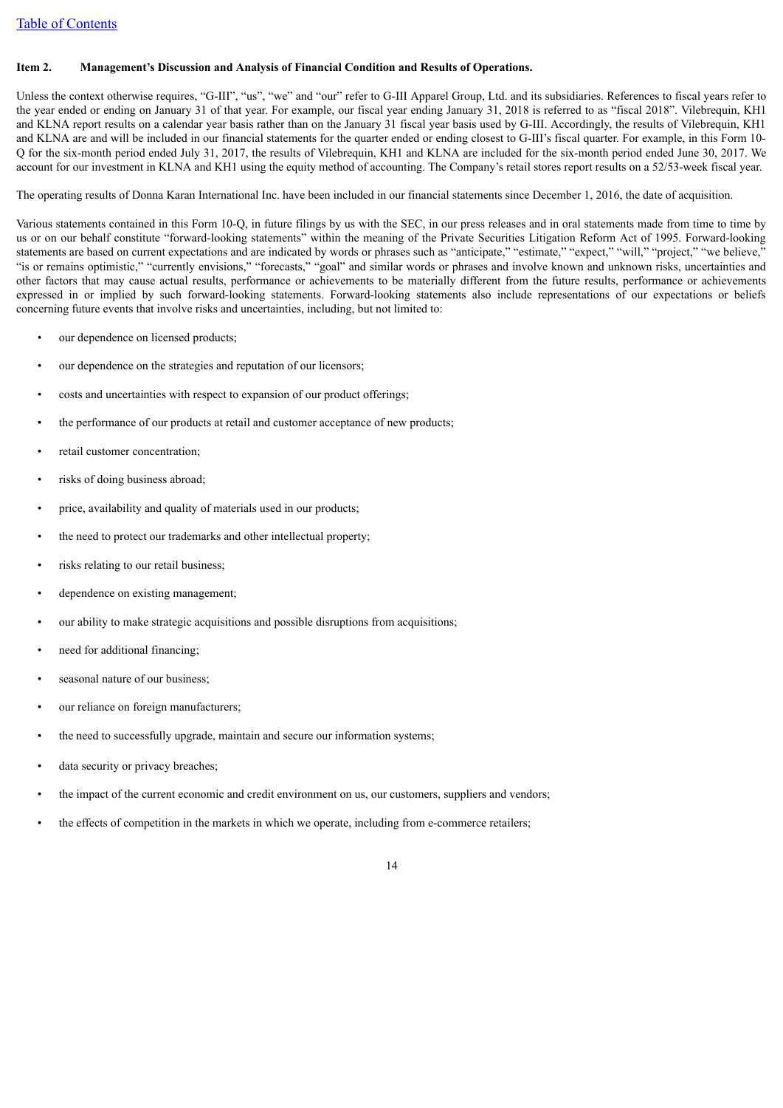#### <span id="page-13-0"></span>**Item 2. Management's Discussion and Analysis of Financial Condition and Results of Operations.**

Unless the context otherwise requires, "G-III", "us", "we" and "our" refer to G-III Apparel Group, Ltd. and its subsidiaries. References to fiscal years refer to the year ended or ending on January 31 of that year. For example, our fiscal year ending January 31, 2018 is referred to as "fiscal 2018". Vilebrequin, KH1 and KLNA report results on a calendar year basis rather than on the January 31 fiscal year basis used by G-III. Accordingly, the results of Vilebrequin, KH1 and KLNA are and will be included in our financial statements for the quarter ended or ending closest to G-III's fiscal quarter. For example, in this Form 10- Q for the six-month period ended July 31, 2017, the results of Vilebrequin, KH1 and KLNA are included for the six-month period ended June 30, 2017. We account for our investment in KLNA and KH1 using the equity method of accounting. The Company's retail stores report results on a 52/53-week fiscal year.

The operating results of Donna Karan International Inc. have been included in our financial statements since December 1, 2016, the date of acquisition.

Various statements contained in this Form 10-Q, in future filings by us with the SEC, in our press releases and in oral statements made from time to time by us or on our behalf constitute "forward-looking statements" within the meaning of the Private Securities Litigation Reform Act of 1995. Forward-looking statements are based on current expectations and are indicated by words or phrases such as "anticipate," "estimate," "expect," "will," "project," "we believe," "is or remains optimistic," "currently envisions," "forecasts," "goal" and similar words or phrases and involve known and unknown risks, uncertainties and other factors that may cause actual results, performance or achievements to be materially different from the future results, performance or achievements expressed in or implied by such forward-looking statements. Forward-looking statements also include representations of our expectations or beliefs concerning future events that involve risks and uncertainties, including, but not limited to:

- our dependence on licensed products;
- our dependence on the strategies and reputation of our licensors;
- costs and uncertainties with respect to expansion of our product offerings;
- the performance of our products at retail and customer acceptance of new products;
- retail customer concentration:
- risks of doing business abroad;
- price, availability and quality of materials used in our products;
- the need to protect our trademarks and other intellectual property;
- risks relating to our retail business;
- dependence on existing management;
- our ability to make strategic acquisitions and possible disruptions from acquisitions;
- need for additional financing;
- seasonal nature of our business;
- our reliance on foreign manufacturers;
- the need to successfully upgrade, maintain and secure our information systems;
- data security or privacy breaches;
- the impact of the current economic and credit environment on us, our customers, suppliers and vendors;
- the effects of competition in the markets in which we operate, including from e-commerce retailers;

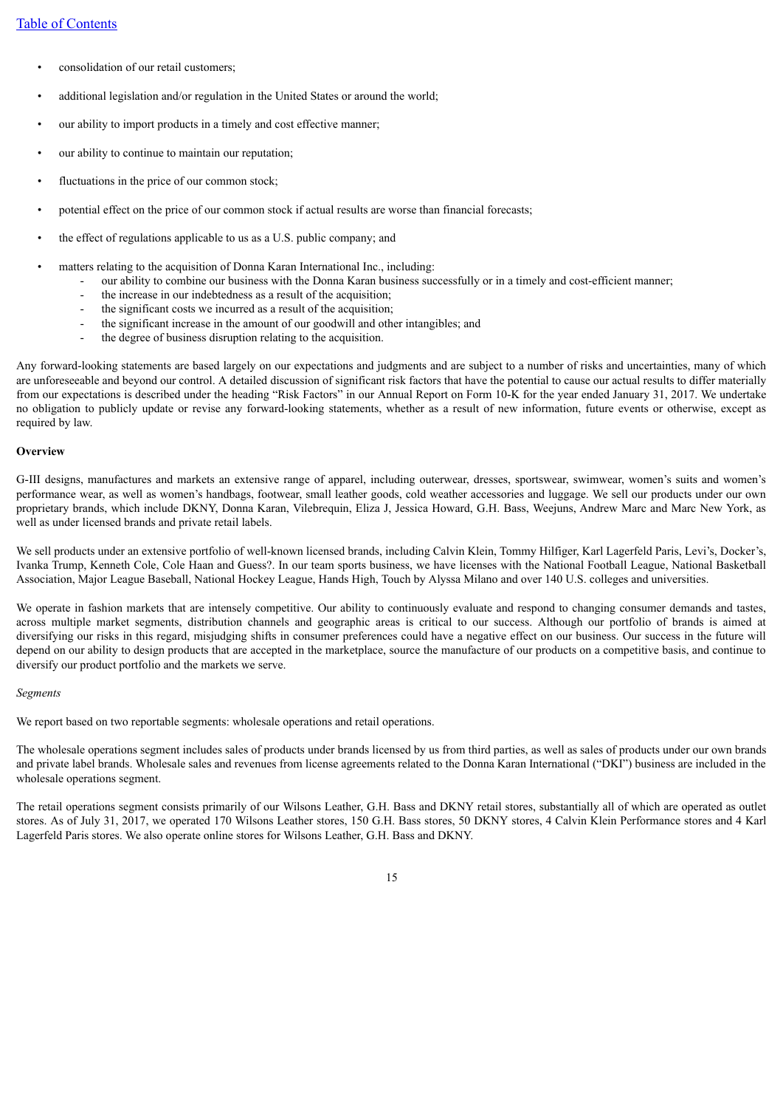- consolidation of our retail customers;
- additional legislation and/or regulation in the United States or around the world;
- our ability to import products in a timely and cost effective manner;
- our ability to continue to maintain our reputation;
- fluctuations in the price of our common stock;
- potential effect on the price of our common stock if actual results are worse than financial forecasts;
- the effect of regulations applicable to us as a U.S. public company; and
- matters relating to the acquisition of Donna Karan International Inc., including:
	- our ability to combine our business with the Donna Karan business successfully or in a timely and cost-efficient manner;
	- the increase in our indebtedness as a result of the acquisition;
	- the significant costs we incurred as a result of the acquisition;
	- the significant increase in the amount of our goodwill and other intangibles; and
	- the degree of business disruption relating to the acquisition.

Any forward-looking statements are based largely on our expectations and judgments and are subject to a number of risks and uncertainties, many of which are unforeseeable and beyond our control. A detailed discussion of significant risk factors that have the potential to cause our actual results to differ materially from our expectations is described under the heading "Risk Factors" in our Annual Report on Form 10-K for the year ended January 31, 2017. We undertake no obligation to publicly update or revise any forward-looking statements, whether as a result of new information, future events or otherwise, except as required by law.

#### **Overview**

G-III designs, manufactures and markets an extensive range of apparel, including outerwear, dresses, sportswear, swimwear, women's suits and women's performance wear, as well as women's handbags, footwear, small leather goods, cold weather accessories and luggage. We sell our products under our own proprietary brands, which include DKNY, Donna Karan, Vilebrequin, Eliza J, Jessica Howard, G.H. Bass, Weejuns, Andrew Marc and Marc New York, as well as under licensed brands and private retail labels.

We sell products under an extensive portfolio of well-known licensed brands, including Calvin Klein, Tommy Hilfiger, Karl Lagerfeld Paris, Levi's, Docker's, Ivanka Trump, Kenneth Cole, Cole Haan and Guess?. In our team sports business, we have licenses with the National Football League, National Basketball Association, Major League Baseball, National Hockey League, Hands High, Touch by Alyssa Milano and over 140 U.S. colleges and universities.

We operate in fashion markets that are intensely competitive. Our ability to continuously evaluate and respond to changing consumer demands and tastes, across multiple market segments, distribution channels and geographic areas is critical to our success. Although our portfolio of brands is aimed at diversifying our risks in this regard, misjudging shifts in consumer preferences could have a negative effect on our business. Our success in the future will depend on our ability to design products that are accepted in the marketplace, source the manufacture of our products on a competitive basis, and continue to diversify our product portfolio and the markets we serve.

#### *Segments*

We report based on two reportable segments: wholesale operations and retail operations.

The wholesale operations segment includes sales of products under brands licensed by us from third parties, as well as sales of products under our own brands and private label brands. Wholesale sales and revenues from license agreements related to the Donna Karan International ("DKI") business are included in the wholesale operations segment.

The retail operations segment consists primarily of our Wilsons Leather, G.H. Bass and DKNY retail stores, substantially all of which are operated as outlet stores. As of July 31, 2017, we operated 170 Wilsons Leather stores, 150 G.H. Bass stores, 50 DKNY stores, 4 Calvin Klein Performance stores and 4 Karl Lagerfeld Paris stores. We also operate online stores for Wilsons Leather, G.H. Bass and DKNY.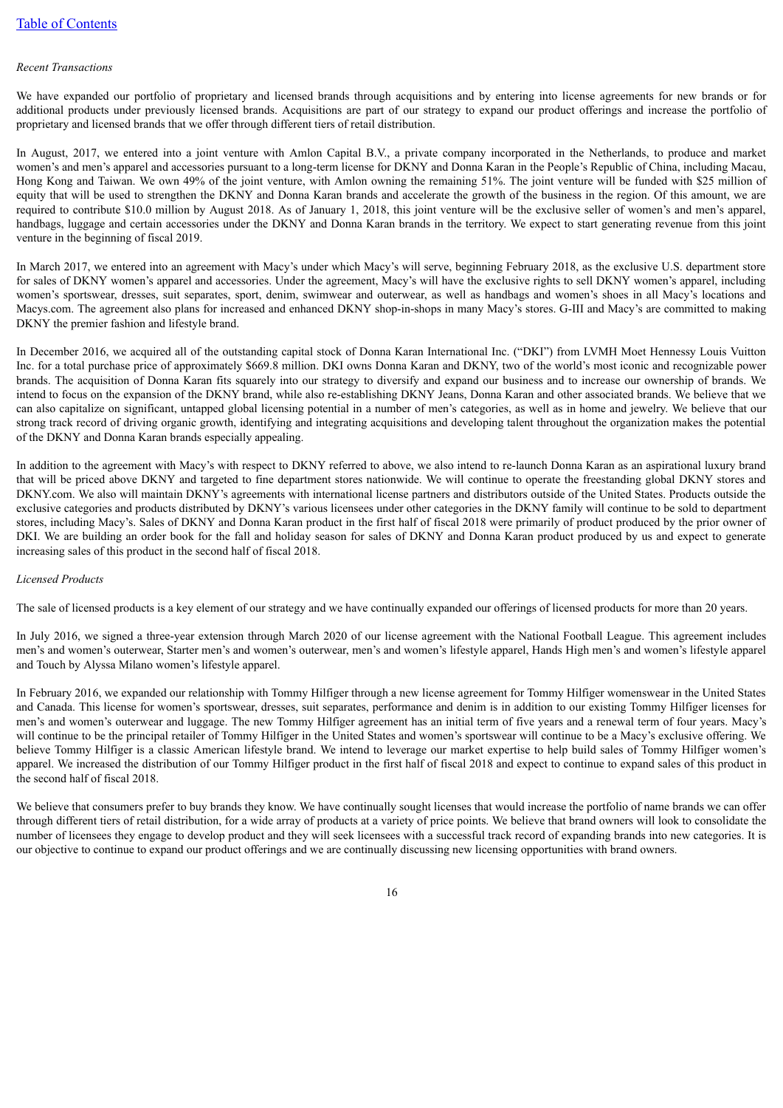#### *Recent Transactions*

We have expanded our portfolio of proprietary and licensed brands through acquisitions and by entering into license agreements for new brands or for additional products under previously licensed brands. Acquisitions are part of our strategy to expand our product offerings and increase the portfolio of proprietary and licensed brands that we offer through different tiers of retail distribution.

In August, 2017, we entered into a joint venture with Amlon Capital B.V., a private company incorporated in the Netherlands, to produce and market women's and men's apparel and accessories pursuant to a long-term license for DKNY and Donna Karan in the People's Republic of China, including Macau, Hong Kong and Taiwan. We own 49% of the joint venture, with Amlon owning the remaining 51%. The joint venture will be funded with \$25 million of equity that will be used to strengthen the DKNY and Donna Karan brands and accelerate the growth of the business in the region. Of this amount, we are required to contribute \$10.0 million by August 2018. As of January 1, 2018, this joint venture will be the exclusive seller of women's and men's apparel, handbags, luggage and certain accessories under the DKNY and Donna Karan brands in the territory. We expect to start generating revenue from this joint venture in the beginning of fiscal 2019.

In March 2017, we entered into an agreement with Macy's under which Macy's will serve, beginning February 2018, as the exclusive U.S. department store for sales of DKNY women's apparel and accessories. Under the agreement, Macy's will have the exclusive rights to sell DKNY women's apparel, including women's sportswear, dresses, suit separates, sport, denim, swimwear and outerwear, as well as handbags and women's shoes in all Macy's locations and Macys.com. The agreement also plans for increased and enhanced DKNY shop-in-shops in many Macy's stores. G-III and Macy's are committed to making DKNY the premier fashion and lifestyle brand.

In December 2016, we acquired all of the outstanding capital stock of Donna Karan International Inc. ("DKI") from LVMH Moet Hennessy Louis Vuitton Inc. for a total purchase price of approximately \$669.8 million. DKI owns Donna Karan and DKNY, two of the world's most iconic and recognizable power brands. The acquisition of Donna Karan fits squarely into our strategy to diversify and expand our business and to increase our ownership of brands. We intend to focus on the expansion of the DKNY brand, while also re-establishing DKNY Jeans, Donna Karan and other associated brands. We believe that we can also capitalize on significant, untapped global licensing potential in a number of men's categories, as well as in home and jewelry. We believe that our strong track record of driving organic growth, identifying and integrating acquisitions and developing talent throughout the organization makes the potential of the DKNY and Donna Karan brands especially appealing.

In addition to the agreement with Macy's with respect to DKNY referred to above, we also intend to re-launch Donna Karan as an aspirational luxury brand that will be priced above DKNY and targeted to fine department stores nationwide. We will continue to operate the freestanding global DKNY stores and DKNY.com. We also will maintain DKNY's agreements with international license partners and distributors outside of the United States. Products outside the exclusive categories and products distributed by DKNY's various licensees under other categories in the DKNY family will continue to be sold to department stores, including Macy's. Sales of DKNY and Donna Karan product in the first half of fiscal 2018 were primarily of product produced by the prior owner of DKI. We are building an order book for the fall and holiday season for sales of DKNY and Donna Karan product produced by us and expect to generate increasing sales of this product in the second half of fiscal 2018.

#### *Licensed Products*

The sale of licensed products is a key element of our strategy and we have continually expanded our offerings of licensed products for more than 20 years.

In July 2016, we signed a three-year extension through March 2020 of our license agreement with the National Football League. This agreement includes men's and women's outerwear, Starter men's and women's outerwear, men's and women's lifestyle apparel, Hands High men's and women's lifestyle apparel and Touch by Alyssa Milano women's lifestyle apparel.

In February 2016, we expanded our relationship with Tommy Hilfiger through a new license agreement for Tommy Hilfiger womenswear in the United States and Canada. This license for women's sportswear, dresses, suit separates, performance and denim is in addition to our existing Tommy Hilfiger licenses for men's and women's outerwear and luggage. The new Tommy Hilfiger agreement has an initial term of five years and a renewal term of four years. Macy's will continue to be the principal retailer of Tommy Hilfiger in the United States and women's sportswear will continue to be a Macy's exclusive offering. We believe Tommy Hilfiger is a classic American lifestyle brand. We intend to leverage our market expertise to help build sales of Tommy Hilfiger women's apparel. We increased the distribution of our Tommy Hilfiger product in the first half of fiscal 2018 and expect to continue to expand sales of this product in the second half of fiscal 2018.

We believe that consumers prefer to buy brands they know. We have continually sought licenses that would increase the portfolio of name brands we can offer through different tiers of retail distribution, for a wide array of products at a variety of price points. We believe that brand owners will look to consolidate the number of licensees they engage to develop product and they will seek licensees with a successful track record of expanding brands into new categories. It is our objective to continue to expand our product offerings and we are continually discussing new licensing opportunities with brand owners.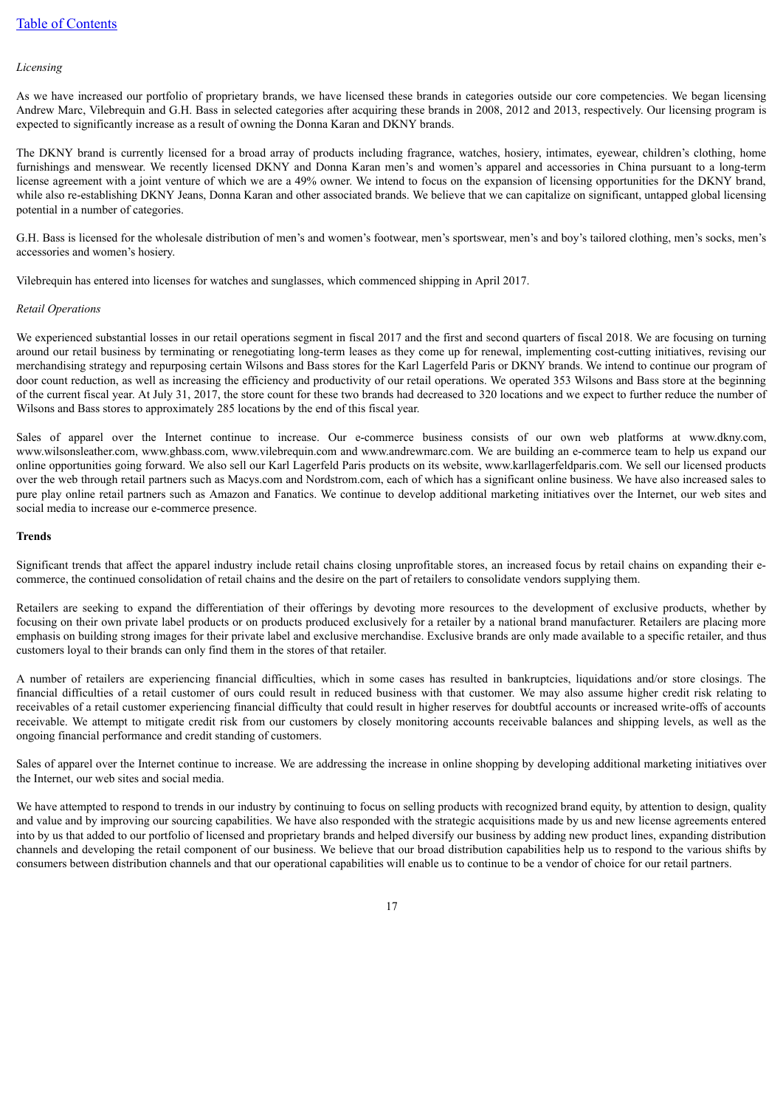#### *Licensing*

As we have increased our portfolio of proprietary brands, we have licensed these brands in categories outside our core competencies. We began licensing Andrew Marc, Vilebrequin and G.H. Bass in selected categories after acquiring these brands in 2008, 2012 and 2013, respectively. Our licensing program is expected to significantly increase as a result of owning the Donna Karan and DKNY brands.

The DKNY brand is currently licensed for a broad array of products including fragrance, watches, hosiery, intimates, eyewear, children's clothing, home furnishings and menswear. We recently licensed DKNY and Donna Karan men's and women's apparel and accessories in China pursuant to a long-term license agreement with a joint venture of which we are a 49% owner. We intend to focus on the expansion of licensing opportunities for the DKNY brand, while also re-establishing DKNY Jeans, Donna Karan and other associated brands. We believe that we can capitalize on significant, untapped global licensing potential in a number of categories.

G.H. Bass is licensed for the wholesale distribution of men's and women's footwear, men's sportswear, men's and boy's tailored clothing, men's socks, men's accessories and women's hosiery.

Vilebrequin has entered into licenses for watches and sunglasses, which commenced shipping in April 2017.

#### *Retail Operations*

We experienced substantial losses in our retail operations segment in fiscal 2017 and the first and second quarters of fiscal 2018. We are focusing on turning around our retail business by terminating or renegotiating long-term leases as they come up for renewal, implementing cost-cutting initiatives, revising our merchandising strategy and repurposing certain Wilsons and Bass stores for the Karl Lagerfeld Paris or DKNY brands. We intend to continue our program of door count reduction, as well as increasing the efficiency and productivity of our retail operations. We operated 353 Wilsons and Bass store at the beginning of the current fiscal year. At July 31, 2017, the store count for these two brands had decreased to 320 locations and we expect to further reduce the number of Wilsons and Bass stores to approximately 285 locations by the end of this fiscal year.

Sales of apparel over the Internet continue to increase. Our e-commerce business consists of our own web platforms at www.dkny.com, www.wilsonsleather.com, www.ghbass.com, www.vilebrequin.com and www.andrewmarc.com. We are building an e-commerce team to help us expand our online opportunities going forward. We also sell our Karl Lagerfeld Paris products on its website, www.karllagerfeldparis.com. We sell our licensed products over the web through retail partners such as Macys.com and Nordstrom.com, each of which has a significant online business. We have also increased sales to pure play online retail partners such as Amazon and Fanatics. We continue to develop additional marketing initiatives over the Internet, our web sites and social media to increase our e-commerce presence.

#### **Trends**

Significant trends that affect the apparel industry include retail chains closing unprofitable stores, an increased focus by retail chains on expanding their ecommerce, the continued consolidation of retail chains and the desire on the part of retailers to consolidate vendors supplying them.

Retailers are seeking to expand the differentiation of their offerings by devoting more resources to the development of exclusive products, whether by focusing on their own private label products or on products produced exclusively for a retailer by a national brand manufacturer. Retailers are placing more emphasis on building strong images for their private label and exclusive merchandise. Exclusive brands are only made available to a specific retailer, and thus customers loyal to their brands can only find them in the stores of that retailer.

A number of retailers are experiencing financial difficulties, which in some cases has resulted in bankruptcies, liquidations and/or store closings. The financial difficulties of a retail customer of ours could result in reduced business with that customer. We may also assume higher credit risk relating to receivables of a retail customer experiencing financial difficulty that could result in higher reserves for doubtful accounts or increased write-offs of accounts receivable. We attempt to mitigate credit risk from our customers by closely monitoring accounts receivable balances and shipping levels, as well as the ongoing financial performance and credit standing of customers.

Sales of apparel over the Internet continue to increase. We are addressing the increase in online shopping by developing additional marketing initiatives over the Internet, our web sites and social media.

We have attempted to respond to trends in our industry by continuing to focus on selling products with recognized brand equity, by attention to design, quality and value and by improving our sourcing capabilities. We have also responded with the strategic acquisitions made by us and new license agreements entered into by us that added to our portfolio of licensed and proprietary brands and helped diversify our business by adding new product lines, expanding distribution channels and developing the retail component of our business. We believe that our broad distribution capabilities help us to respond to the various shifts by consumers between distribution channels and that our operational capabilities will enable us to continue to be a vendor of choice for our retail partners.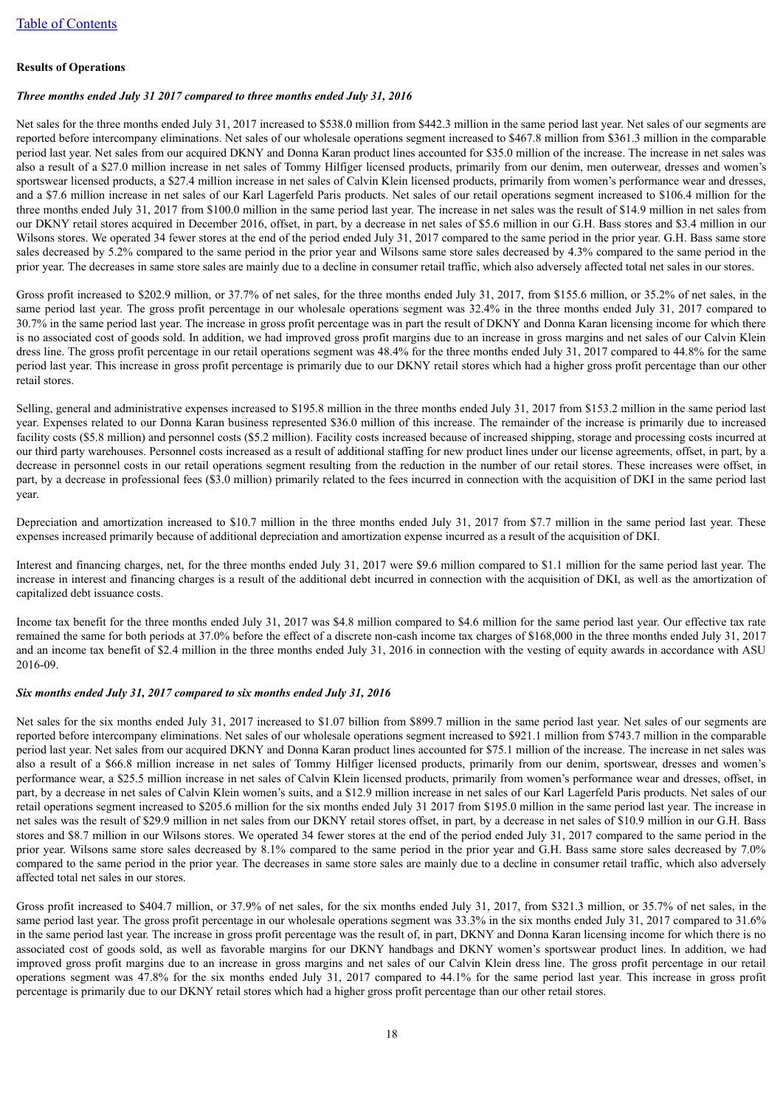#### **Results of Operations**

#### *Three months ended July 31 2017 compared to three months ended July 31, 2016*

Net sales for the three months ended July 31, 2017 increased to \$538.0 million from \$442.3 million in the same period last year. Net sales of our segments are reported before intercompany eliminations. Net sales of our wholesale operations segment increased to \$467.8 million from \$361.3 million in the comparable period last year. Net sales from our acquired DKNY and Donna Karan product lines accounted for \$35.0 million of the increase. The increase in net sales was also a result of a \$27.0 million increase in net sales of Tommy Hilfiger licensed products, primarily from our denim, men outerwear, dresses and women's sportswear licensed products, a \$27.4 million increase in net sales of Calvin Klein licensed products, primarily from women's performance wear and dresses, and a \$7.6 million increase in net sales of our Karl Lagerfeld Paris products. Net sales of our retail operations segment increased to \$106.4 million for the three months ended July 31, 2017 from \$100.0 million in the same period last year. The increase in net sales was the result of \$14.9 million in net sales from our DKNY retail stores acquired in December 2016, offset, in part, by a decrease in net sales of \$5.6 million in our G.H. Bass stores and \$3.4 million in our Wilsons stores. We operated 34 fewer stores at the end of the period ended July 31, 2017 compared to the same period in the prior year. G.H. Bass same store sales decreased by 5.2% compared to the same period in the prior year and Wilsons same store sales decreased by 4.3% compared to the same period in the prior year. The decreases in same store sales are mainly due to a decline in consumer retail traffic, which also adversely affected total net sales in our stores.

Gross profit increased to \$202.9 million, or 37.7% of net sales, for the three months ended July 31, 2017, from \$155.6 million, or 35.2% of net sales, in the same period last year. The gross profit percentage in our wholesale operations segment was 32.4% in the three months ended July 31, 2017 compared to 30.7% in the same period last year. The increase in gross profit percentage was in part the result of DKNY and Donna Karan licensing income for which there is no associated cost of goods sold. In addition, we had improved gross profit margins due to an increase in gross margins and net sales of our Calvin Klein dress line. The gross profit percentage in our retail operations segment was 48.4% for the three months ended July 31, 2017 compared to 44.8% for the same period last year. This increase in gross profit percentage is primarily due to our DKNY retail stores which had a higher gross profit percentage than our other retail stores.

Selling, general and administrative expenses increased to \$195.8 million in the three months ended July 31, 2017 from \$153.2 million in the same period last year. Expenses related to our Donna Karan business represented \$36.0 million of this increase. The remainder of the increase is primarily due to increased facility costs (\$5.8 million) and personnel costs (\$5.2 million). Facility costs increased because of increased shipping, storage and processing costs incurred at our third party warehouses. Personnel costs increased as a result of additional staffing for new product lines under our license agreements, offset, in part, by a decrease in personnel costs in our retail operations segment resulting from the reduction in the number of our retail stores. These increases were offset, in part, by a decrease in professional fees (\$3.0 million) primarily related to the fees incurred in connection with the acquisition of DKI in the same period last year.

Depreciation and amortization increased to \$10.7 million in the three months ended July 31, 2017 from \$7.7 million in the same period last year. These expenses increased primarily because of additional depreciation and amortization expense incurred as a result of the acquisition of DKI.

Interest and financing charges, net, for the three months ended July 31, 2017 were \$9.6 million compared to \$1.1 million for the same period last year. The increase in interest and financing charges is a result of the additional debt incurred in connection with the acquisition of DKI, as well as the amortization of capitalized debt issuance costs.

Income tax benefit for the three months ended July 31, 2017 was \$4.8 million compared to \$4.6 million for the same period last year. Our effective tax rate remained the same for both periods at 37.0% before the effect of a discrete non-cash income tax charges of \$168,000 in the three months ended July 31, 2017 and an income tax benefit of \$2.4 million in the three months ended July 31, 2016 in connection with the vesting of equity awards in accordance with ASU 2016-09.

#### *Six months ended July 31, 2017 compared to six months ended July 31, 2016*

Net sales for the six months ended July 31, 2017 increased to \$1.07 billion from \$899.7 million in the same period last year. Net sales of our segments are reported before intercompany eliminations. Net sales of our wholesale operations segment increased to \$921.1 million from \$743.7 million in the comparable period last year. Net sales from our acquired DKNY and Donna Karan product lines accounted for \$75.1 million of the increase. The increase in net sales was also a result of a \$66.8 million increase in net sales of Tommy Hilfiger licensed products, primarily from our denim, sportswear, dresses and women's performance wear, a \$25.5 million increase in net sales of Calvin Klein licensed products, primarily from women's performance wear and dresses, offset, in part, by a decrease in net sales of Calvin Klein women's suits, and a \$12.9 million increase in net sales of our Karl Lagerfeld Paris products. Net sales of our retail operations segment increased to \$205.6 million for the six months ended July 31 2017 from \$195.0 million in the same period last year. The increase in net sales was the result of \$29.9 million in net sales from our DKNY retail stores offset, in part, by a decrease in net sales of \$10.9 million in our G.H. Bass stores and \$8.7 million in our Wilsons stores. We operated 34 fewer stores at the end of the period ended July 31, 2017 compared to the same period in the prior year. Wilsons same store sales decreased by 8.1% compared to the same period in the prior year and G.H. Bass same store sales decreased by 7.0% compared to the same period in the prior year. The decreases in same store sales are mainly due to a decline in consumer retail traffic, which also adversely affected total net sales in our stores.

Gross profit increased to \$404.7 million, or 37.9% of net sales, for the six months ended July 31, 2017, from \$321.3 million, or 35.7% of net sales, in the same period last year. The gross profit percentage in our wholesale operations segment was 33.3% in the six months ended July 31, 2017 compared to 31.6% in the same period last year. The increase in gross profit percentage was the result of, in part, DKNY and Donna Karan licensing income for which there is no associated cost of goods sold, as well as favorable margins for our DKNY handbags and DKNY women's sportswear product lines. In addition, we had improved gross profit margins due to an increase in gross margins and net sales of our Calvin Klein dress line. The gross profit percentage in our retail operations segment was 47.8% for the six months ended July 31, 2017 compared to 44.1% for the same period last year. This increase in gross profit percentage is primarily due to our DKNY retail stores which had a higher gross profit percentage than our other retail stores.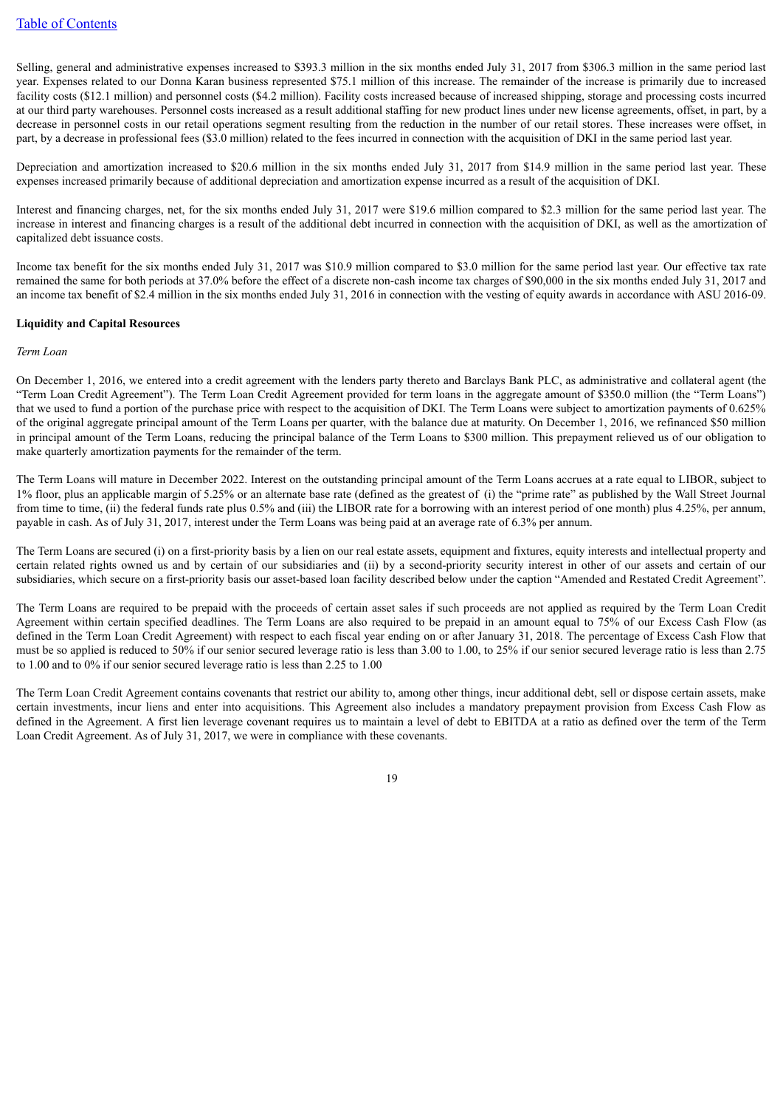Selling, general and administrative expenses increased to \$393.3 million in the six months ended July 31, 2017 from \$306.3 million in the same period last year. Expenses related to our Donna Karan business represented \$75.1 million of this increase. The remainder of the increase is primarily due to increased facility costs (\$12.1 million) and personnel costs (\$4.2 million). Facility costs increased because of increased shipping, storage and processing costs incurred at our third party warehouses. Personnel costs increased as a result additional staffing for new product lines under new license agreements, offset, in part, by a decrease in personnel costs in our retail operations segment resulting from the reduction in the number of our retail stores. These increases were offset, in part, by a decrease in professional fees (\$3.0 million) related to the fees incurred in connection with the acquisition of DKI in the same period last year.

Depreciation and amortization increased to \$20.6 million in the six months ended July 31, 2017 from \$14.9 million in the same period last year. These expenses increased primarily because of additional depreciation and amortization expense incurred as a result of the acquisition of DKI.

Interest and financing charges, net, for the six months ended July 31, 2017 were \$19.6 million compared to \$2.3 million for the same period last year. The increase in interest and financing charges is a result of the additional debt incurred in connection with the acquisition of DKI, as well as the amortization of capitalized debt issuance costs.

Income tax benefit for the six months ended July 31, 2017 was \$10.9 million compared to \$3.0 million for the same period last year. Our effective tax rate remained the same for both periods at 37.0% before the effect of a discrete non-cash income tax charges of \$90,000 in the six months ended July 31, 2017 and an income tax benefit of \$2.4 million in the six months ended July 31, 2016 in connection with the vesting of equity awards in accordance with ASU 2016-09.

#### **Liquidity and Capital Resources**

#### *Term Loan*

On December 1, 2016, we entered into a credit agreement with the lenders party thereto and Barclays Bank PLC, as administrative and collateral agent (the "Term Loan Credit Agreement"). The Term Loan Credit Agreement provided for term loans in the aggregate amount of \$350.0 million (the "Term Loans") that we used to fund a portion of the purchase price with respect to the acquisition of DKI. The Term Loans were subject to amortization payments of 0.625% of the original aggregate principal amount of the Term Loans per quarter, with the balance due at maturity. On December 1, 2016, we refinanced \$50 million in principal amount of the Term Loans, reducing the principal balance of the Term Loans to \$300 million. This prepayment relieved us of our obligation to make quarterly amortization payments for the remainder of the term.

The Term Loans will mature in December 2022. Interest on the outstanding principal amount of the Term Loans accrues at a rate equal to LIBOR, subject to 1% floor, plus an applicable margin of 5.25% or an alternate base rate (defined as the greatest of (i) the "prime rate" as published by the Wall Street Journal from time to time, (ii) the federal funds rate plus 0.5% and (iii) the LIBOR rate for a borrowing with an interest period of one month) plus 4.25%, per annum, payable in cash. As of July 31, 2017, interest under the Term Loans was being paid at an average rate of 6.3% per annum.

The Term Loans are secured (i) on a first-priority basis by a lien on our real estate assets, equipment and fixtures, equity interests and intellectual property and certain related rights owned us and by certain of our subsidiaries and (ii) by a second-priority security interest in other of our assets and certain of our subsidiaries, which secure on a first-priority basis our asset-based loan facility described below under the caption "Amended and Restated Credit Agreement".

The Term Loans are required to be prepaid with the proceeds of certain asset sales if such proceeds are not applied as required by the Term Loan Credit Agreement within certain specified deadlines. The Term Loans are also required to be prepaid in an amount equal to 75% of our Excess Cash Flow (as defined in the Term Loan Credit Agreement) with respect to each fiscal year ending on or after January 31, 2018. The percentage of Excess Cash Flow that must be so applied is reduced to 50% if our senior secured leverage ratio is less than 3.00 to 1.00, to 25% if our senior secured leverage ratio is less than 2.75 to 1.00 and to 0% if our senior secured leverage ratio is less than 2.25 to 1.00

The Term Loan Credit Agreement contains covenants that restrict our ability to, among other things, incur additional debt, sell or dispose certain assets, make certain investments, incur liens and enter into acquisitions. This Agreement also includes a mandatory prepayment provision from Excess Cash Flow as defined in the Agreement. A first lien leverage covenant requires us to maintain a level of debt to EBITDA at a ratio as defined over the term of the Term Loan Credit Agreement. As of July 31, 2017, we were in compliance with these covenants.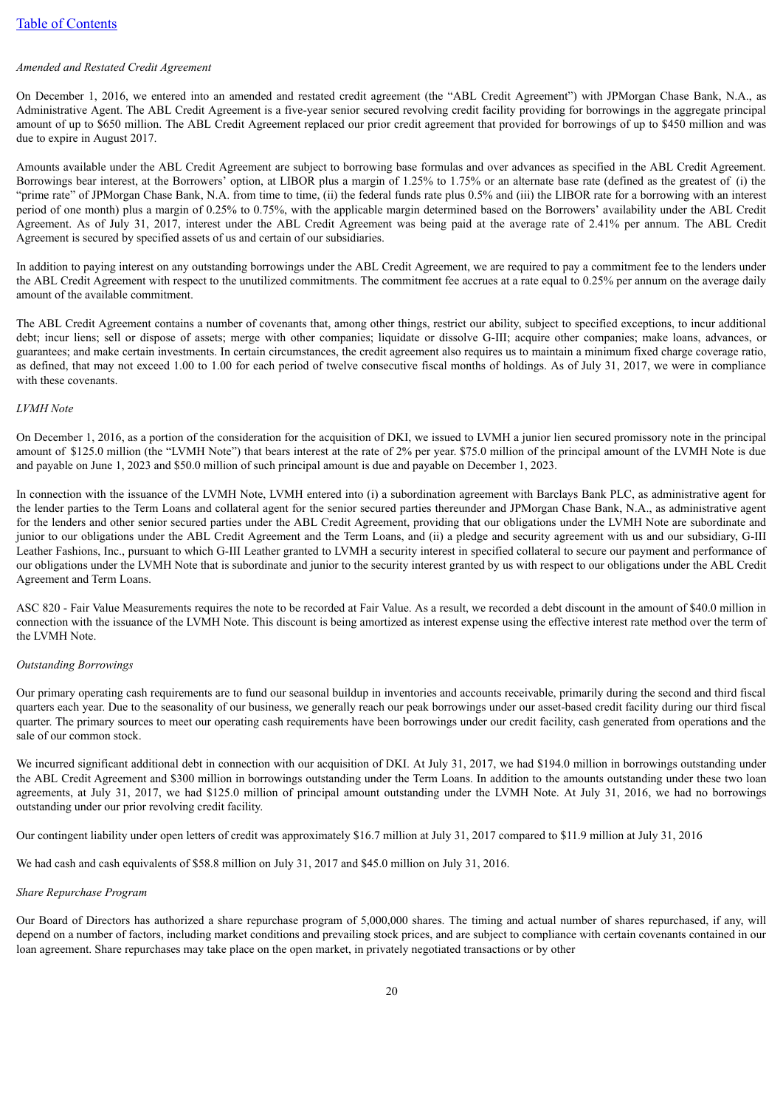#### *Amended and Restated Credit Agreement*

On December 1, 2016, we entered into an amended and restated credit agreement (the "ABL Credit Agreement") with JPMorgan Chase Bank, N.A., as Administrative Agent. The ABL Credit Agreement is a five-year senior secured revolving credit facility providing for borrowings in the aggregate principal amount of up to \$650 million. The ABL Credit Agreement replaced our prior credit agreement that provided for borrowings of up to \$450 million and was due to expire in August 2017.

Amounts available under the ABL Credit Agreement are subject to borrowing base formulas and over advances as specified in the ABL Credit Agreement. Borrowings bear interest, at the Borrowers' option, at LIBOR plus a margin of 1.25% to 1.75% or an alternate base rate (defined as the greatest of (i) the "prime rate" of JPMorgan Chase Bank, N.A. from time to time, (ii) the federal funds rate plus 0.5% and (iii) the LIBOR rate for a borrowing with an interest period of one month) plus a margin of 0.25% to 0.75%, with the applicable margin determined based on the Borrowers' availability under the ABL Credit Agreement. As of July 31, 2017, interest under the ABL Credit Agreement was being paid at the average rate of 2.41% per annum. The ABL Credit Agreement is secured by specified assets of us and certain of our subsidiaries.

In addition to paying interest on any outstanding borrowings under the ABL Credit Agreement, we are required to pay a commitment fee to the lenders under the ABL Credit Agreement with respect to the unutilized commitments. The commitment fee accrues at a rate equal to 0.25% per annum on the average daily amount of the available commitment.

The ABL Credit Agreement contains a number of covenants that, among other things, restrict our ability, subject to specified exceptions, to incur additional debt; incur liens; sell or dispose of assets; merge with other companies; liquidate or dissolve G-III; acquire other companies; make loans, advances, or guarantees; and make certain investments. In certain circumstances, the credit agreement also requires us to maintain a minimum fixed charge coverage ratio, as defined, that may not exceed 1.00 to 1.00 for each period of twelve consecutive fiscal months of holdings. As of July 31, 2017, we were in compliance with these covenants.

#### *LVMH Note*

On December 1, 2016, as a portion of the consideration for the acquisition of DKI, we issued to LVMH a junior lien secured promissory note in the principal amount of \$125.0 million (the "LVMH Note") that bears interest at the rate of 2% per year. \$75.0 million of the principal amount of the LVMH Note is due and payable on June 1, 2023 and \$50.0 million of such principal amount is due and payable on December 1, 2023.

In connection with the issuance of the LVMH Note, LVMH entered into (i) a subordination agreement with Barclays Bank PLC, as administrative agent for the lender parties to the Term Loans and collateral agent for the senior secured parties thereunder and JPMorgan Chase Bank, N.A., as administrative agent for the lenders and other senior secured parties under the ABL Credit Agreement, providing that our obligations under the LVMH Note are subordinate and junior to our obligations under the ABL Credit Agreement and the Term Loans, and (ii) a pledge and security agreement with us and our subsidiary, G-III Leather Fashions, Inc., pursuant to which G-III Leather granted to LVMH a security interest in specified collateral to secure our payment and performance of our obligations under the LVMH Note that is subordinate and junior to the security interest granted by us with respect to our obligations under the ABL Credit Agreement and Term Loans.

ASC 820 - Fair Value Measurements requires the note to be recorded at Fair Value. As a result, we recorded a debt discount in the amount of \$40.0 million in connection with the issuance of the LVMH Note. This discount is being amortized as interest expense using the effective interest rate method over the term of the LVMH Note.

#### *Outstanding Borrowings*

Our primary operating cash requirements are to fund our seasonal buildup in inventories and accounts receivable, primarily during the second and third fiscal quarters each year. Due to the seasonality of our business, we generally reach our peak borrowings under our asset-based credit facility during our third fiscal quarter. The primary sources to meet our operating cash requirements have been borrowings under our credit facility, cash generated from operations and the sale of our common stock.

We incurred significant additional debt in connection with our acquisition of DKI. At July 31, 2017, we had \$194.0 million in borrowings outstanding under the ABL Credit Agreement and \$300 million in borrowings outstanding under the Term Loans. In addition to the amounts outstanding under these two loan agreements, at July 31, 2017, we had \$125.0 million of principal amount outstanding under the LVMH Note. At July 31, 2016, we had no borrowings outstanding under our prior revolving credit facility.

Our contingent liability under open letters of credit was approximately \$16.7 million at July 31, 2017 compared to \$11.9 million at July 31, 2016

We had cash and cash equivalents of \$58.8 million on July 31, 2017 and \$45.0 million on July 31, 2016.

#### *Share Repurchase Program*

Our Board of Directors has authorized a share repurchase program of 5,000,000 shares. The timing and actual number of shares repurchased, if any, will depend on a number of factors, including market conditions and prevailing stock prices, and are subject to compliance with certain covenants contained in our loan agreement. Share repurchases may take place on the open market, in privately negotiated transactions or by other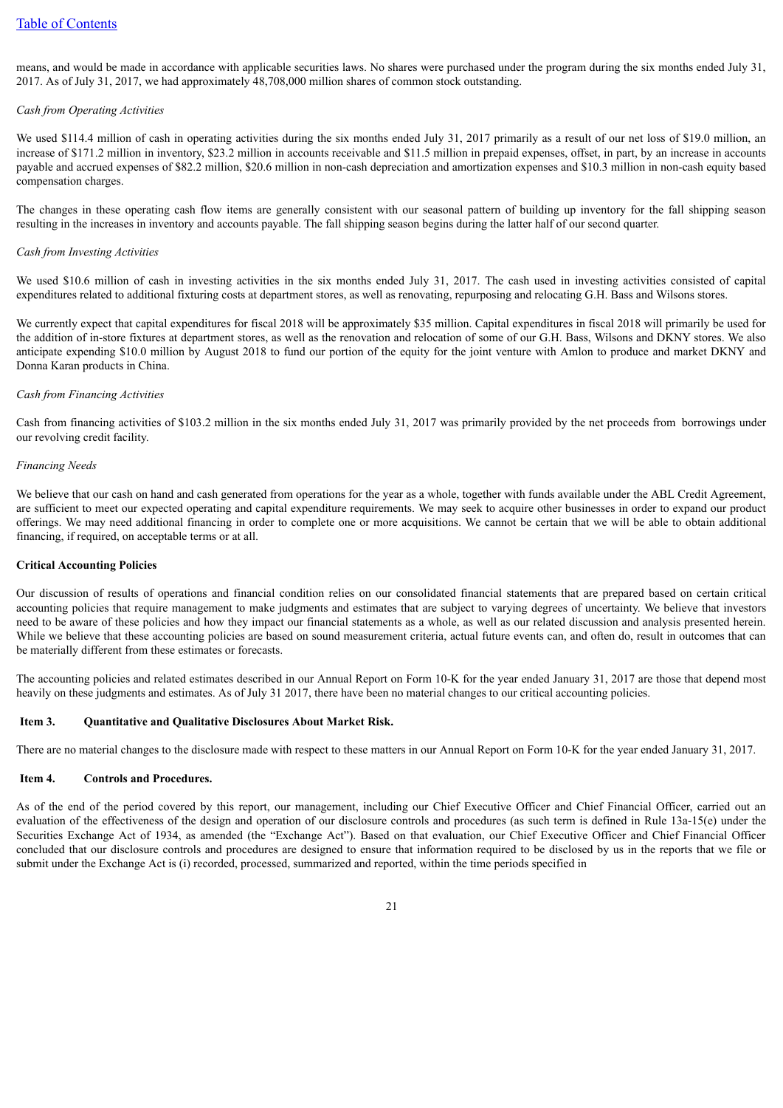means, and would be made in accordance with applicable securities laws. No shares were purchased under the program during the six months ended July 31, 2017. As of July 31, 2017, we had approximately 48,708,000 million shares of common stock outstanding.

#### *Cash from Operating Activities*

We used \$114.4 million of cash in operating activities during the six months ended July 31, 2017 primarily as a result of our net loss of \$19.0 million, an increase of \$171.2 million in inventory, \$23.2 million in accounts receivable and \$11.5 million in prepaid expenses, offset, in part, by an increase in accounts payable and accrued expenses of \$82.2 million, \$20.6 million in non-cash depreciation and amortization expenses and \$10.3 million in non-cash equity based compensation charges.

The changes in these operating cash flow items are generally consistent with our seasonal pattern of building up inventory for the fall shipping season resulting in the increases in inventory and accounts payable. The fall shipping season begins during the latter half of our second quarter.

#### *Cash from Investing Activities*

We used \$10.6 million of cash in investing activities in the six months ended July 31, 2017. The cash used in investing activities consisted of capital expenditures related to additional fixturing costs at department stores, as well as renovating, repurposing and relocating G.H. Bass and Wilsons stores.

We currently expect that capital expenditures for fiscal 2018 will be approximately \$35 million. Capital expenditures in fiscal 2018 will primarily be used for the addition of in-store fixtures at department stores, as well as the renovation and relocation of some of our G.H. Bass, Wilsons and DKNY stores. We also anticipate expending \$10.0 million by August 2018 to fund our portion of the equity for the joint venture with Amlon to produce and market DKNY and Donna Karan products in China.

#### *Cash from Financing Activities*

Cash from financing activities of \$103.2 million in the six months ended July 31, 2017 was primarily provided by the net proceeds from borrowings under our revolving credit facility.

#### *Financing Needs*

We believe that our cash on hand and cash generated from operations for the year as a whole, together with funds available under the ABL Credit Agreement, are sufficient to meet our expected operating and capital expenditure requirements. We may seek to acquire other businesses in order to expand our product offerings. We may need additional financing in order to complete one or more acquisitions. We cannot be certain that we will be able to obtain additional financing, if required, on acceptable terms or at all.

#### **Critical Accounting Policies**

Our discussion of results of operations and financial condition relies on our consolidated financial statements that are prepared based on certain critical accounting policies that require management to make judgments and estimates that are subject to varying degrees of uncertainty. We believe that investors need to be aware of these policies and how they impact our financial statements as a whole, as well as our related discussion and analysis presented herein. While we believe that these accounting policies are based on sound measurement criteria, actual future events can, and often do, result in outcomes that can be materially different from these estimates or forecasts.

The accounting policies and related estimates described in our Annual Report on Form 10-K for the year ended January 31, 2017 are those that depend most heavily on these judgments and estimates. As of July 31 2017, there have been no material changes to our critical accounting policies.

#### <span id="page-20-0"></span>**Item 3. Quantitative and Qualitative Disclosures About Market Risk.**

There are no material changes to the disclosure made with respect to these matters in our Annual Report on Form 10-K for the year ended January 31, 2017.

#### <span id="page-20-1"></span>**Item 4. Controls and Procedures.**

As of the end of the period covered by this report, our management, including our Chief Executive Officer and Chief Financial Officer, carried out an evaluation of the effectiveness of the design and operation of our disclosure controls and procedures (as such term is defined in Rule 13a-15(e) under the Securities Exchange Act of 1934, as amended (the "Exchange Act"). Based on that evaluation, our Chief Executive Officer and Chief Financial Officer concluded that our disclosure controls and procedures are designed to ensure that information required to be disclosed by us in the reports that we file or submit under the Exchange Act is (i) recorded, processed, summarized and reported, within the time periods specified in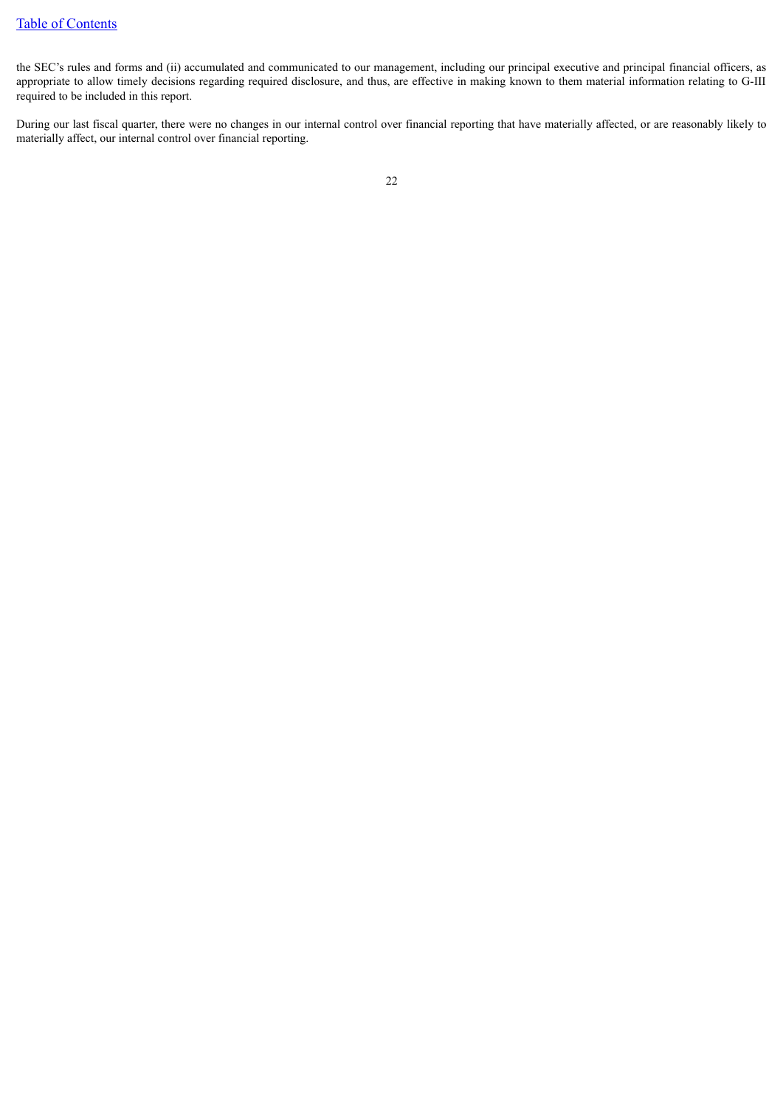the SEC's rules and forms and (ii) accumulated and communicated to our management, including our principal executive and principal financial officers, as appropriate to allow timely decisions regarding required disclosure, and thus, are effective in making known to them material information relating to G-III required to be included in this report.

During our last fiscal quarter, there were no changes in our internal control over financial reporting that have materially affected, or are reasonably likely to materially affect, our internal control over financial reporting.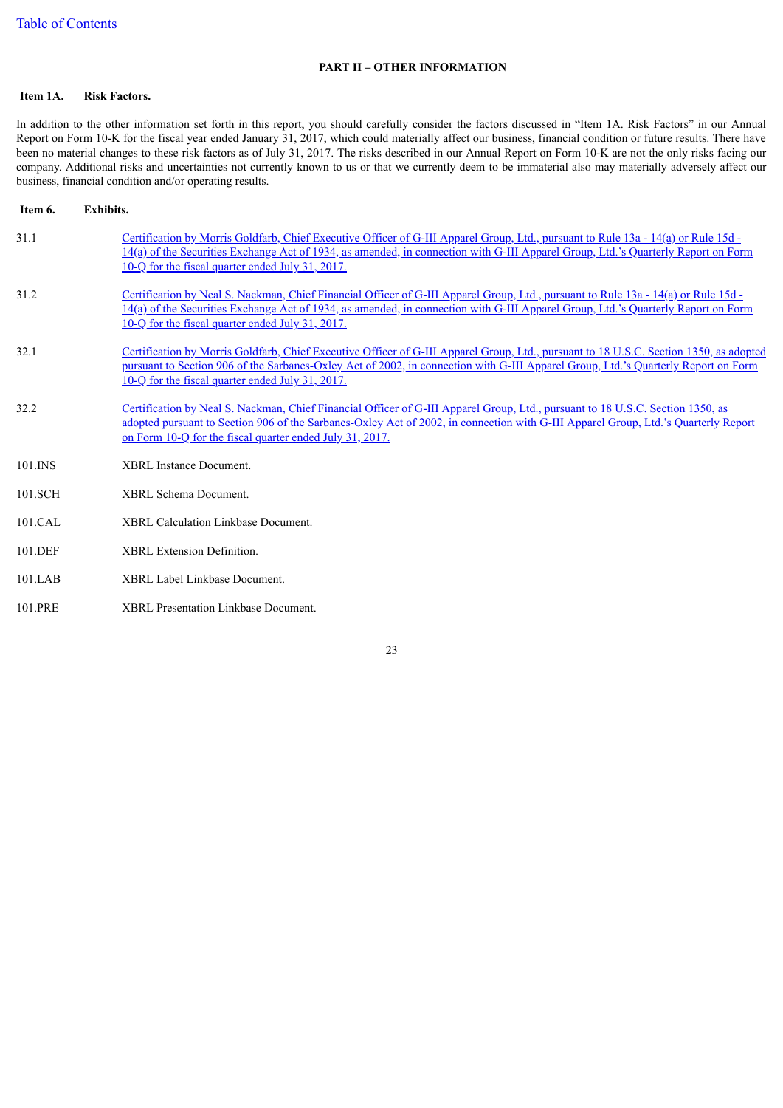### **PART II – OTHER INFORMATION**

### <span id="page-22-1"></span><span id="page-22-0"></span>**Item 1A. Risk Factors.**

In addition to the other information set forth in this report, you should carefully consider the factors discussed in "Item 1A. Risk Factors" in our Annual Report on Form 10-K for the fiscal year ended January 31, 2017, which could materially affect our business, financial condition or future results. There have been no material changes to these risk factors as of July 31, 2017. The risks described in our Annual Report on Form 10-K are not the only risks facing our company. Additional risks and uncertainties not currently known to us or that we currently deem to be immaterial also may materially adversely affect our business, financial condition and/or operating results.

<span id="page-22-2"></span>

| 31.1<br>Certification by Morris Goldfarb, Chief Executive Officer of G-III Apparel Group, Ltd., pursuant to Rule 13a - 14(a) or Rule 15d -<br>14(a) of the Securities Exchange Act of 1934, as amended, in connection with G-III Apparel Group, Ltd.'s Quarterly Report on Form<br>10-Q for the fiscal quarter ended July 31, 2017.<br>31.2<br>Certification by Neal S. Nackman, Chief Financial Officer of G-III Apparel Group, Ltd., pursuant to Rule 13a - 14(a) or Rule 15d -<br>14(a) of the Securities Exchange Act of 1934, as amended, in connection with G-III Apparel Group, Ltd.'s Quarterly Report on Form<br>10-Q for the fiscal quarter ended July 31, 2017.<br>32.1<br>pursuant to Section 906 of the Sarbanes-Oxley Act of 2002, in connection with G-III Apparel Group, Ltd.'s Quarterly Report on Form<br>10-Q for the fiscal quarter ended July 31, 2017.<br>32.2<br>Certification by Neal S. Nackman, Chief Financial Officer of G-III Apparel Group, Ltd., pursuant to 18 U.S.C. Section 1350, as<br>adopted pursuant to Section 906 of the Sarbanes-Oxley Act of 2002, in connection with G-III Apparel Group, Ltd.'s Quarterly Report<br>on Form 10-Q for the fiscal quarter ended July 31, 2017.<br><b>XBRL</b> Instance Document.<br>$101$ . INS<br>101.SCH<br>XBRL Schema Document.<br>101.CAL<br><b>XBRL Calculation Linkbase Document.</b><br><b>XBRL</b> Extension Definition.<br>101.DEF<br><b>XBRL Label Linkbase Document.</b><br>101.LAB | Item 6. | <b>Exhibits.</b>                                                                                                                       |
|---------------------------------------------------------------------------------------------------------------------------------------------------------------------------------------------------------------------------------------------------------------------------------------------------------------------------------------------------------------------------------------------------------------------------------------------------------------------------------------------------------------------------------------------------------------------------------------------------------------------------------------------------------------------------------------------------------------------------------------------------------------------------------------------------------------------------------------------------------------------------------------------------------------------------------------------------------------------------------------------------------------------------------------------------------------------------------------------------------------------------------------------------------------------------------------------------------------------------------------------------------------------------------------------------------------------------------------------------------------------------------------------------------------------------------------------------------------------------|---------|----------------------------------------------------------------------------------------------------------------------------------------|
|                                                                                                                                                                                                                                                                                                                                                                                                                                                                                                                                                                                                                                                                                                                                                                                                                                                                                                                                                                                                                                                                                                                                                                                                                                                                                                                                                                                                                                                                           |         |                                                                                                                                        |
|                                                                                                                                                                                                                                                                                                                                                                                                                                                                                                                                                                                                                                                                                                                                                                                                                                                                                                                                                                                                                                                                                                                                                                                                                                                                                                                                                                                                                                                                           |         |                                                                                                                                        |
|                                                                                                                                                                                                                                                                                                                                                                                                                                                                                                                                                                                                                                                                                                                                                                                                                                                                                                                                                                                                                                                                                                                                                                                                                                                                                                                                                                                                                                                                           |         | Certification by Morris Goldfarb, Chief Executive Officer of G-III Apparel Group, Ltd., pursuant to 18 U.S.C. Section 1350, as adopted |
|                                                                                                                                                                                                                                                                                                                                                                                                                                                                                                                                                                                                                                                                                                                                                                                                                                                                                                                                                                                                                                                                                                                                                                                                                                                                                                                                                                                                                                                                           |         |                                                                                                                                        |
|                                                                                                                                                                                                                                                                                                                                                                                                                                                                                                                                                                                                                                                                                                                                                                                                                                                                                                                                                                                                                                                                                                                                                                                                                                                                                                                                                                                                                                                                           |         |                                                                                                                                        |
|                                                                                                                                                                                                                                                                                                                                                                                                                                                                                                                                                                                                                                                                                                                                                                                                                                                                                                                                                                                                                                                                                                                                                                                                                                                                                                                                                                                                                                                                           |         |                                                                                                                                        |
|                                                                                                                                                                                                                                                                                                                                                                                                                                                                                                                                                                                                                                                                                                                                                                                                                                                                                                                                                                                                                                                                                                                                                                                                                                                                                                                                                                                                                                                                           |         |                                                                                                                                        |
|                                                                                                                                                                                                                                                                                                                                                                                                                                                                                                                                                                                                                                                                                                                                                                                                                                                                                                                                                                                                                                                                                                                                                                                                                                                                                                                                                                                                                                                                           |         |                                                                                                                                        |
|                                                                                                                                                                                                                                                                                                                                                                                                                                                                                                                                                                                                                                                                                                                                                                                                                                                                                                                                                                                                                                                                                                                                                                                                                                                                                                                                                                                                                                                                           |         |                                                                                                                                        |

101.PRE XBRL Presentation Linkbase Document.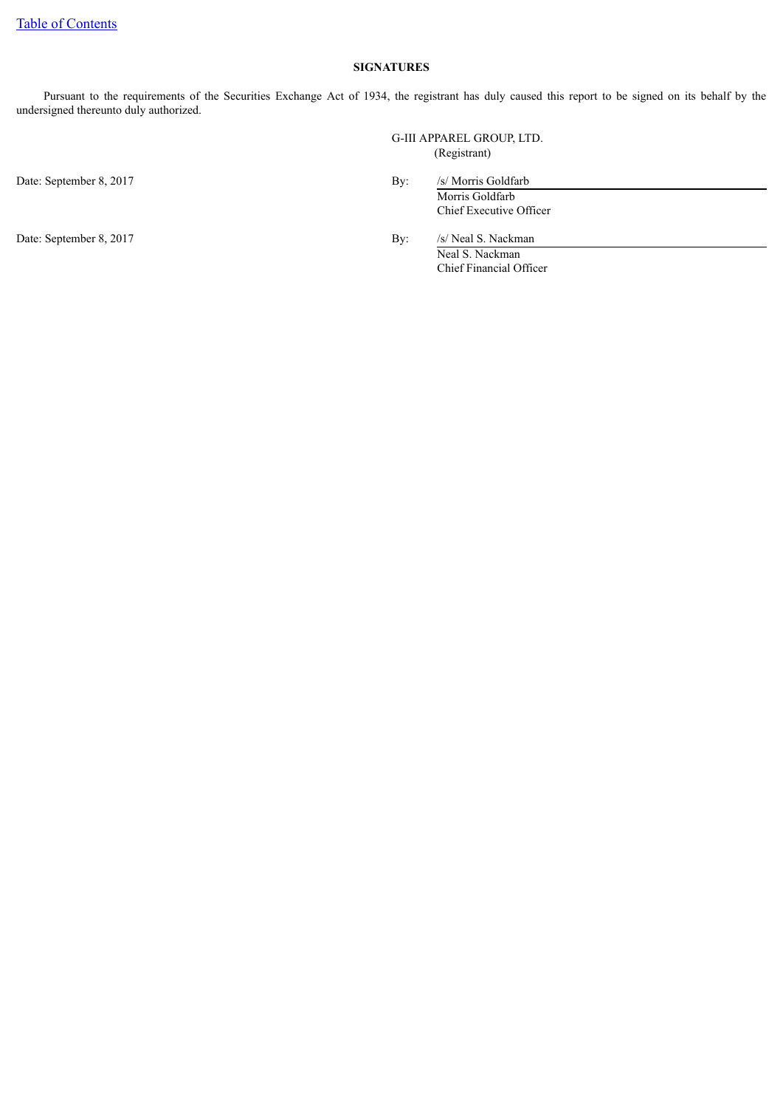### **SIGNATURES**

Pursuant to the requirements of the Securities Exchange Act of 1934, the registrant has duly caused this report to be signed on its behalf by the undersigned thereunto duly authorized.

> G-III APPAREL GROUP, LTD. (Registrant)

Date: September 8, 2017 By: /s/ Morris Goldfarb

Morris Goldfarb Chief Executive Officer

Date: September 8, 2017 By: /s/ Neal S. Nackman

Neal S. Nackman Chief Financial Officer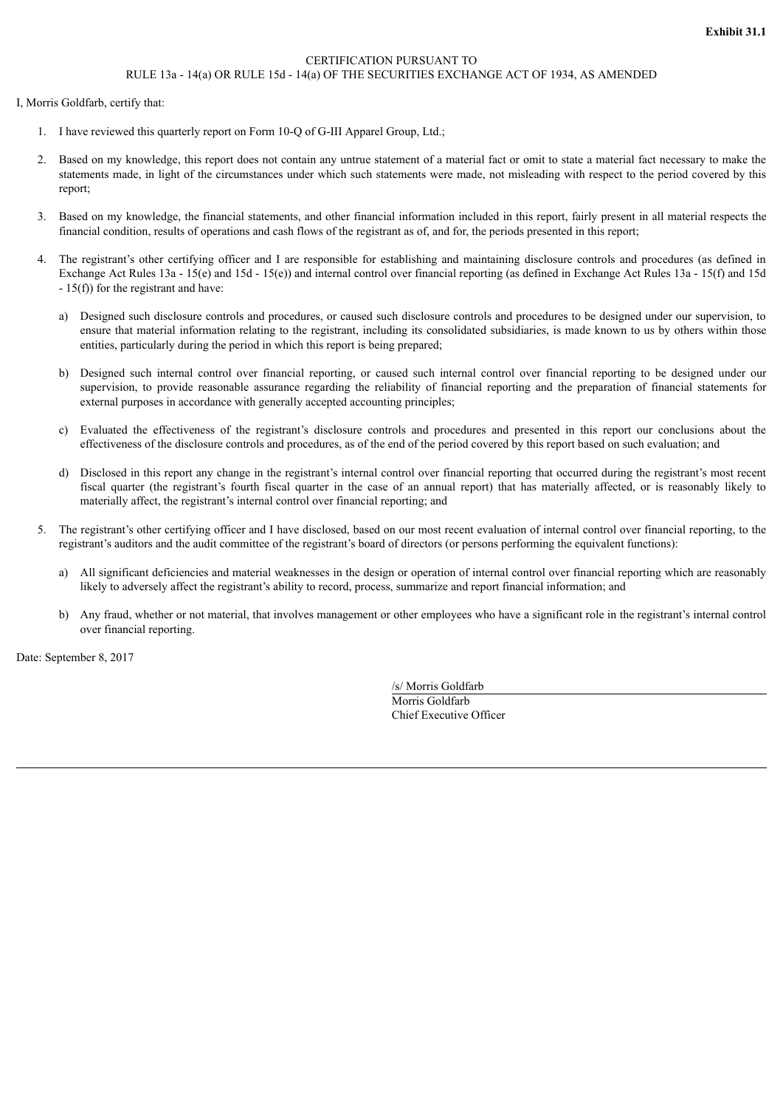#### CERTIFICATION PURSUANT TO RULE 13a - 14(a) OR RULE 15d - 14(a) OF THE SECURITIES EXCHANGE ACT OF 1934, AS AMENDED

<span id="page-24-0"></span>I, Morris Goldfarb, certify that:

- 1. I have reviewed this quarterly report on Form 10-Q of G-III Apparel Group, Ltd.;
- 2. Based on my knowledge, this report does not contain any untrue statement of a material fact or omit to state a material fact necessary to make the statements made, in light of the circumstances under which such statements were made, not misleading with respect to the period covered by this report;
- 3. Based on my knowledge, the financial statements, and other financial information included in this report, fairly present in all material respects the financial condition, results of operations and cash flows of the registrant as of, and for, the periods presented in this report;
- 4. The registrant's other certifying officer and I are responsible for establishing and maintaining disclosure controls and procedures (as defined in Exchange Act Rules 13a - 15(e) and 15d - 15(e)) and internal control over financial reporting (as defined in Exchange Act Rules 13a - 15(f) and 15d - 15(f)) for the registrant and have:
	- a) Designed such disclosure controls and procedures, or caused such disclosure controls and procedures to be designed under our supervision, to ensure that material information relating to the registrant, including its consolidated subsidiaries, is made known to us by others within those entities, particularly during the period in which this report is being prepared;
	- b) Designed such internal control over financial reporting, or caused such internal control over financial reporting to be designed under our supervision, to provide reasonable assurance regarding the reliability of financial reporting and the preparation of financial statements for external purposes in accordance with generally accepted accounting principles;
	- c) Evaluated the effectiveness of the registrant's disclosure controls and procedures and presented in this report our conclusions about the effectiveness of the disclosure controls and procedures, as of the end of the period covered by this report based on such evaluation; and
	- d) Disclosed in this report any change in the registrant's internal control over financial reporting that occurred during the registrant's most recent fiscal quarter (the registrant's fourth fiscal quarter in the case of an annual report) that has materially affected, or is reasonably likely to materially affect, the registrant's internal control over financial reporting; and
- 5. The registrant's other certifying officer and I have disclosed, based on our most recent evaluation of internal control over financial reporting, to the registrant's auditors and the audit committee of the registrant's board of directors (or persons performing the equivalent functions):
	- a) All significant deficiencies and material weaknesses in the design or operation of internal control over financial reporting which are reasonably likely to adversely affect the registrant's ability to record, process, summarize and report financial information; and
	- b) Any fraud, whether or not material, that involves management or other employees who have a significant role in the registrant's internal control over financial reporting.

Date: September 8, 2017

/s/ Morris Goldfarb

Morris Goldfarb Chief Executive Officer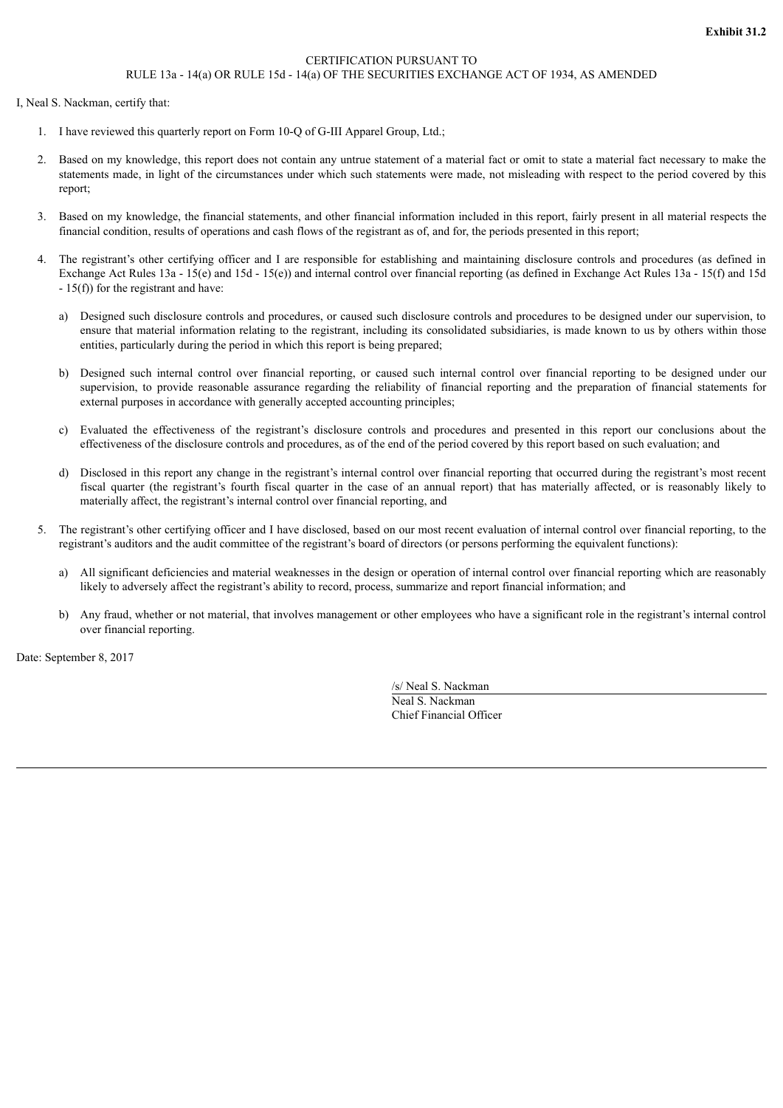#### CERTIFICATION PURSUANT TO RULE 13a - 14(a) OR RULE 15d - 14(a) OF THE SECURITIES EXCHANGE ACT OF 1934, AS AMENDED

<span id="page-25-0"></span>I, Neal S. Nackman, certify that:

- 1. I have reviewed this quarterly report on Form 10-Q of G-III Apparel Group, Ltd.;
- 2. Based on my knowledge, this report does not contain any untrue statement of a material fact or omit to state a material fact necessary to make the statements made, in light of the circumstances under which such statements were made, not misleading with respect to the period covered by this report;
- 3. Based on my knowledge, the financial statements, and other financial information included in this report, fairly present in all material respects the financial condition, results of operations and cash flows of the registrant as of, and for, the periods presented in this report;
- 4. The registrant's other certifying officer and I are responsible for establishing and maintaining disclosure controls and procedures (as defined in Exchange Act Rules 13a - 15(e) and 15d - 15(e)) and internal control over financial reporting (as defined in Exchange Act Rules 13a - 15(f) and 15d - 15(f)) for the registrant and have:
	- a) Designed such disclosure controls and procedures, or caused such disclosure controls and procedures to be designed under our supervision, to ensure that material information relating to the registrant, including its consolidated subsidiaries, is made known to us by others within those entities, particularly during the period in which this report is being prepared;
	- b) Designed such internal control over financial reporting, or caused such internal control over financial reporting to be designed under our supervision, to provide reasonable assurance regarding the reliability of financial reporting and the preparation of financial statements for external purposes in accordance with generally accepted accounting principles;
	- c) Evaluated the effectiveness of the registrant's disclosure controls and procedures and presented in this report our conclusions about the effectiveness of the disclosure controls and procedures, as of the end of the period covered by this report based on such evaluation; and
	- d) Disclosed in this report any change in the registrant's internal control over financial reporting that occurred during the registrant's most recent fiscal quarter (the registrant's fourth fiscal quarter in the case of an annual report) that has materially affected, or is reasonably likely to materially affect, the registrant's internal control over financial reporting, and
- 5. The registrant's other certifying officer and I have disclosed, based on our most recent evaluation of internal control over financial reporting, to the registrant's auditors and the audit committee of the registrant's board of directors (or persons performing the equivalent functions):
	- a) All significant deficiencies and material weaknesses in the design or operation of internal control over financial reporting which are reasonably likely to adversely affect the registrant's ability to record, process, summarize and report financial information; and
	- b) Any fraud, whether or not material, that involves management or other employees who have a significant role in the registrant's internal control over financial reporting.

Date: September 8, 2017

/s/ Neal S. Nackman

Neal S. Nackman Chief Financial Officer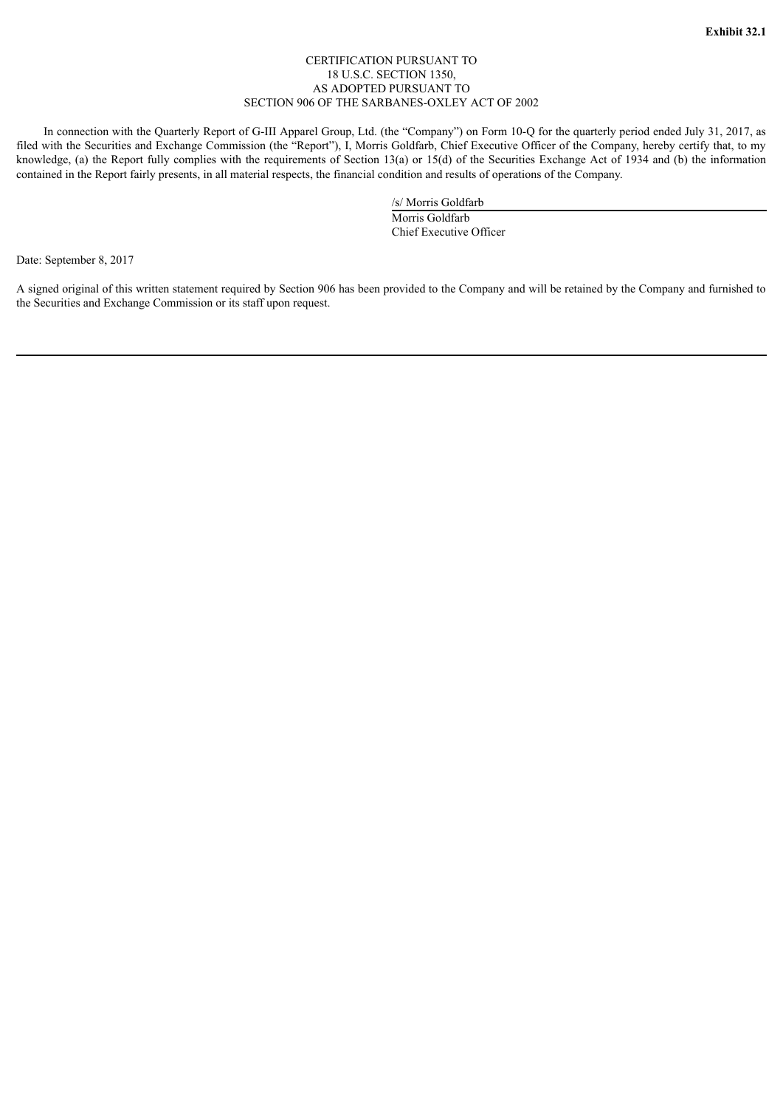#### CERTIFICATION PURSUANT TO 18 U.S.C. SECTION 1350, AS ADOPTED PURSUANT TO SECTION 906 OF THE SARBANES-OXLEY ACT OF 2002

<span id="page-26-0"></span>In connection with the Quarterly Report of G-III Apparel Group, Ltd. (the "Company") on Form 10-Q for the quarterly period ended July 31, 2017, as filed with the Securities and Exchange Commission (the "Report"), I, Morris Goldfarb, Chief Executive Officer of the Company, hereby certify that, to my knowledge, (a) the Report fully complies with the requirements of Section 13(a) or 15(d) of the Securities Exchange Act of 1934 and (b) the information contained in the Report fairly presents, in all material respects, the financial condition and results of operations of the Company.

> /s/ Morris Goldfarb Morris Goldfarb Chief Executive Officer

Date: September 8, 2017

A signed original of this written statement required by Section 906 has been provided to the Company and will be retained by the Company and furnished to the Securities and Exchange Commission or its staff upon request.